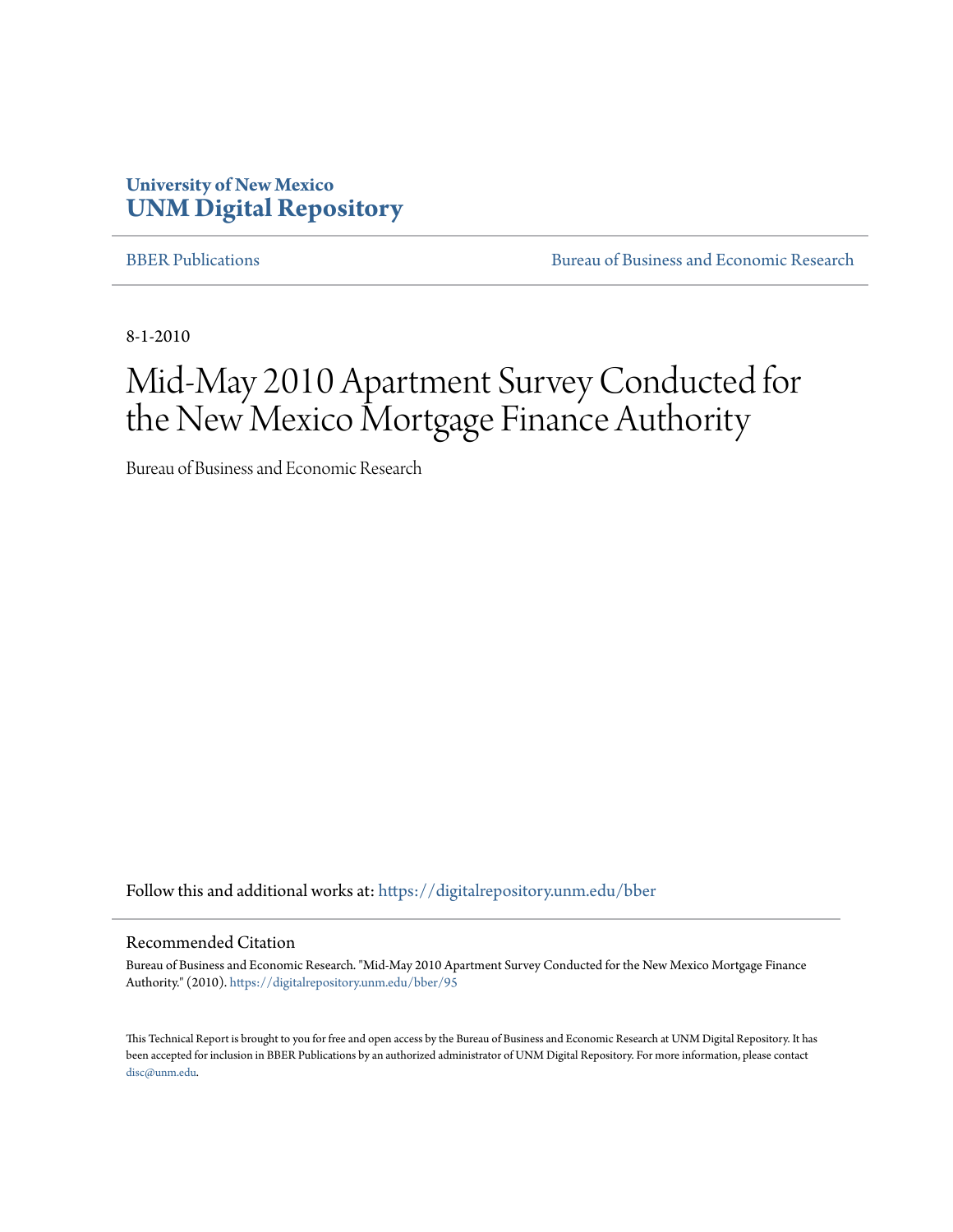#### **University of New Mexico [UNM Digital Repository](https://digitalrepository.unm.edu?utm_source=digitalrepository.unm.edu%2Fbber%2F95&utm_medium=PDF&utm_campaign=PDFCoverPages)**

[BBER Publications](https://digitalrepository.unm.edu/bber?utm_source=digitalrepository.unm.edu%2Fbber%2F95&utm_medium=PDF&utm_campaign=PDFCoverPages) **BUREAU SERVICES** [Bureau of Business and Economic Research](https://digitalrepository.unm.edu/business_economic_research?utm_source=digitalrepository.unm.edu%2Fbber%2F95&utm_medium=PDF&utm_campaign=PDFCoverPages)

8-1-2010

## Mid-May 2010 Apartment Survey Conducted for the New Mexico Mortgage Finance Authority

Bureau of Business and Economic Research

Follow this and additional works at: [https://digitalrepository.unm.edu/bber](https://digitalrepository.unm.edu/bber?utm_source=digitalrepository.unm.edu%2Fbber%2F95&utm_medium=PDF&utm_campaign=PDFCoverPages)

#### Recommended Citation

Bureau of Business and Economic Research. "Mid-May 2010 Apartment Survey Conducted for the New Mexico Mortgage Finance Authority." (2010). [https://digitalrepository.unm.edu/bber/95](https://digitalrepository.unm.edu/bber/95?utm_source=digitalrepository.unm.edu%2Fbber%2F95&utm_medium=PDF&utm_campaign=PDFCoverPages)

This Technical Report is brought to you for free and open access by the Bureau of Business and Economic Research at UNM Digital Repository. It has been accepted for inclusion in BBER Publications by an authorized administrator of UNM Digital Repository. For more information, please contact [disc@unm.edu](mailto:disc@unm.edu).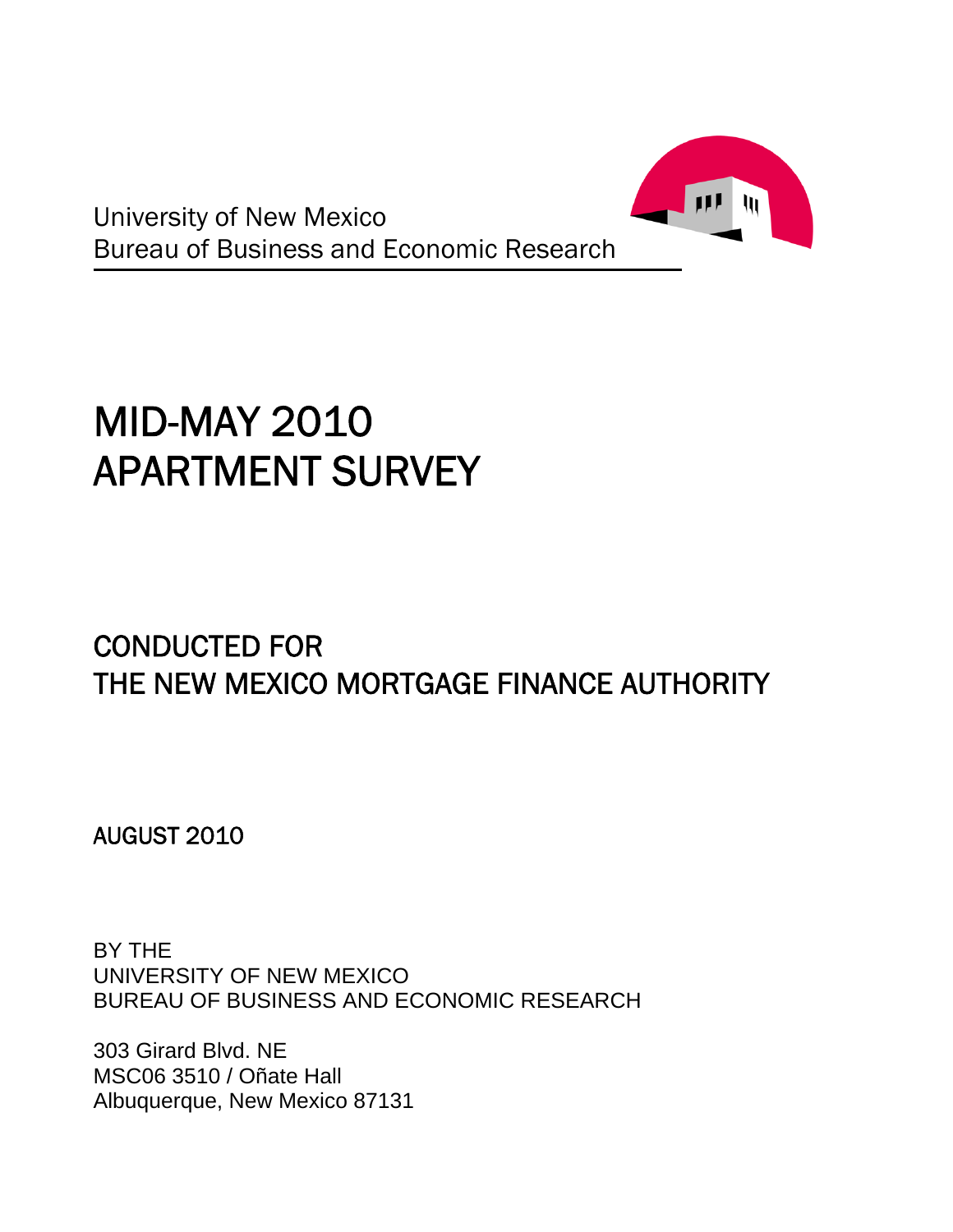

University of New Mexico Bureau of Business and Economic Research

# MID-MAY 2010 APARTMENT SURVEY

### CONDUCTED FOR THE NEW MEXICO MORTGAGE FINANCE AUTHORITY

AUGUST 2010

BY THE UNIVERSITY OF NEW MEXICO BUREAU OF BUSINESS AND ECONOMIC RESEARCH

303 Girard Blvd. NE MSC06 3510 / Oñate Hall Albuquerque, New Mexico 87131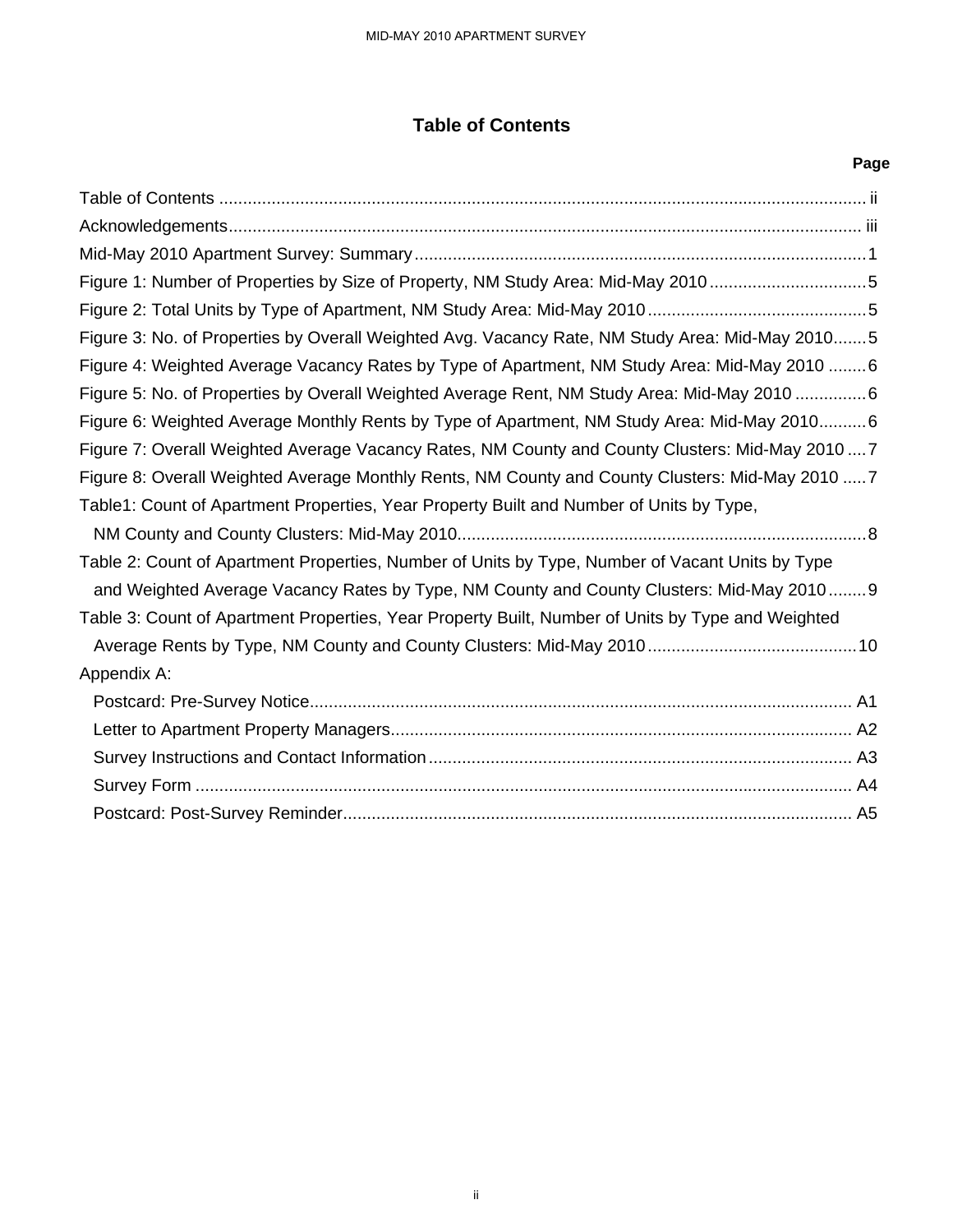#### **Table of Contents**

|                                                                                                   | Page |
|---------------------------------------------------------------------------------------------------|------|
|                                                                                                   |      |
|                                                                                                   |      |
|                                                                                                   |      |
| Figure 1: Number of Properties by Size of Property, NM Study Area: Mid-May 20105                  |      |
|                                                                                                   |      |
| Figure 3: No. of Properties by Overall Weighted Avg. Vacancy Rate, NM Study Area: Mid-May 20105   |      |
| Figure 4: Weighted Average Vacancy Rates by Type of Apartment, NM Study Area: Mid-May 2010  6     |      |
| Figure 5: No. of Properties by Overall Weighted Average Rent, NM Study Area: Mid-May 2010 6       |      |
| Figure 6: Weighted Average Monthly Rents by Type of Apartment, NM Study Area: Mid-May 20106       |      |
| Figure 7: Overall Weighted Average Vacancy Rates, NM County and County Clusters: Mid-May 20107    |      |
| Figure 8: Overall Weighted Average Monthly Rents, NM County and County Clusters: Mid-May 2010  7  |      |
| Table1: Count of Apartment Properties, Year Property Built and Number of Units by Type,           |      |
|                                                                                                   |      |
| Table 2: Count of Apartment Properties, Number of Units by Type, Number of Vacant Units by Type   |      |
| and Weighted Average Vacancy Rates by Type, NM County and County Clusters: Mid-May 20109          |      |
| Table 3: Count of Apartment Properties, Year Property Built, Number of Units by Type and Weighted |      |
|                                                                                                   |      |
| Appendix A:                                                                                       |      |
|                                                                                                   |      |
|                                                                                                   |      |
|                                                                                                   |      |
|                                                                                                   |      |
|                                                                                                   |      |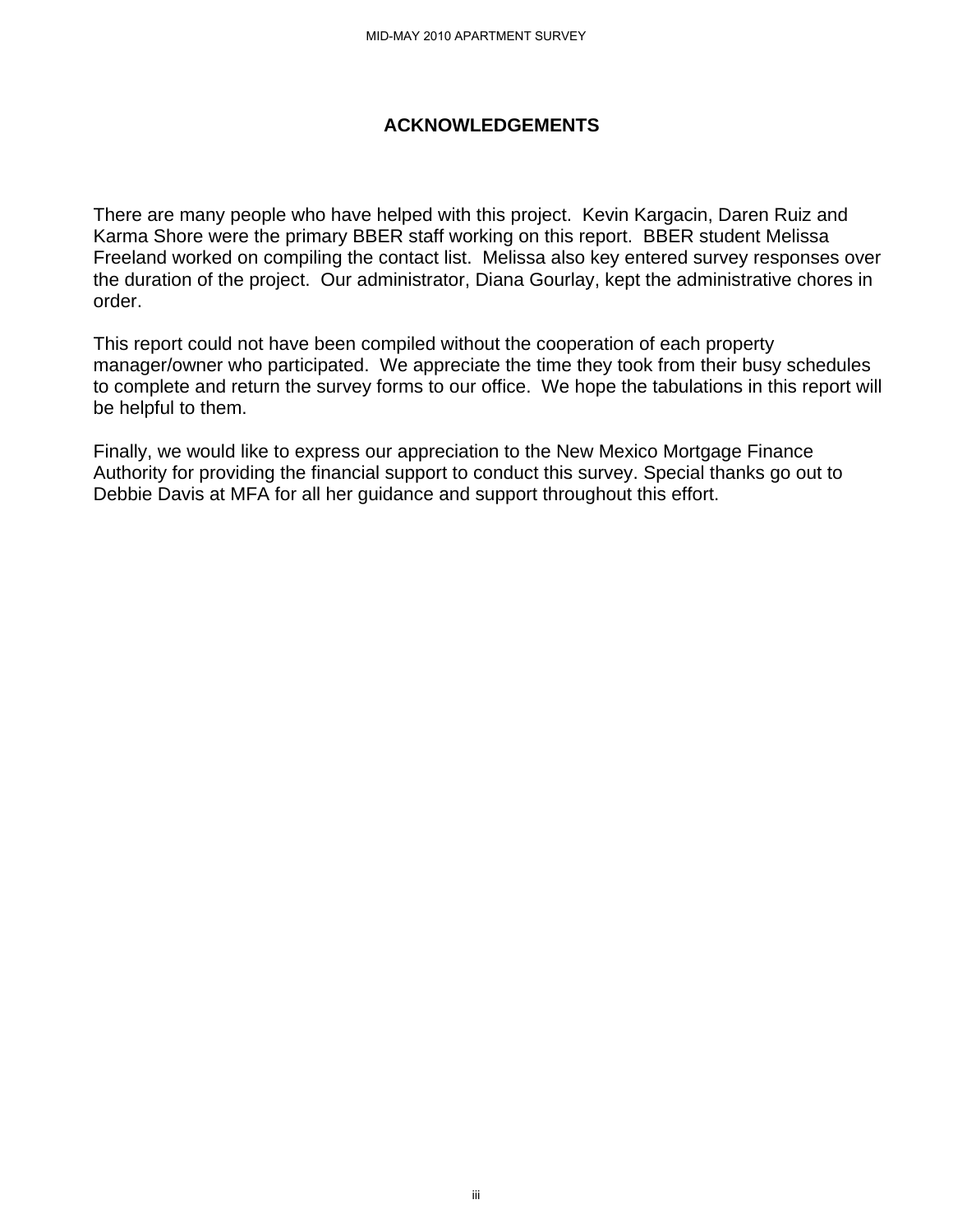#### **ACKNOWLEDGEMENTS**

There are many people who have helped with this project. Kevin Kargacin, Daren Ruiz and Karma Shore were the primary BBER staff working on this report. BBER student Melissa Freeland worked on compiling the contact list. Melissa also key entered survey responses over the duration of the project. Our administrator, Diana Gourlay, kept the administrative chores in order.

This report could not have been compiled without the cooperation of each property manager/owner who participated. We appreciate the time they took from their busy schedules to complete and return the survey forms to our office. We hope the tabulations in this report will be helpful to them.

Finally, we would like to express our appreciation to the New Mexico Mortgage Finance Authority for providing the financial support to conduct this survey. Special thanks go out to Debbie Davis at MFA for all her guidance and support throughout this effort.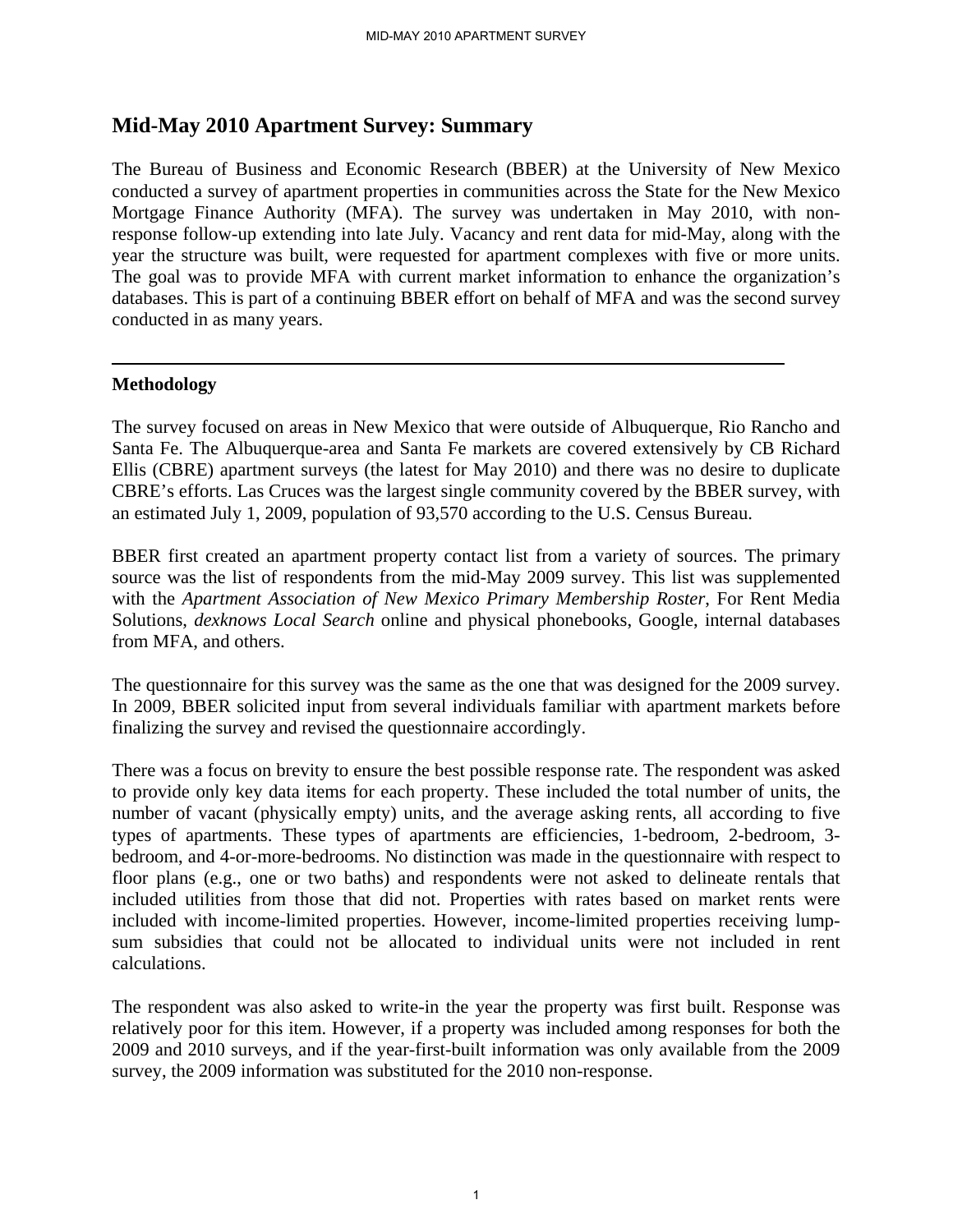#### **Mid-May 2010 Apartment Survey: Summary**

The Bureau of Business and Economic Research (BBER) at the University of New Mexico conducted a survey of apartment properties in communities across the State for the New Mexico Mortgage Finance Authority (MFA). The survey was undertaken in May 2010, with nonresponse follow-up extending into late July. Vacancy and rent data for mid-May, along with the year the structure was built, were requested for apartment complexes with five or more units. The goal was to provide MFA with current market information to enhance the organization's databases. This is part of a continuing BBER effort on behalf of MFA and was the second survey conducted in as many years.

#### **Methodology**

The survey focused on areas in New Mexico that were outside of Albuquerque, Rio Rancho and Santa Fe. The Albuquerque-area and Santa Fe markets are covered extensively by CB Richard Ellis (CBRE) apartment surveys (the latest for May 2010) and there was no desire to duplicate CBRE's efforts. Las Cruces was the largest single community covered by the BBER survey, with an estimated July 1, 2009, population of 93,570 according to the U.S. Census Bureau.

BBER first created an apartment property contact list from a variety of sources. The primary source was the list of respondents from the mid-May 2009 survey. This list was supplemented with the *Apartment Association of New Mexico Primary Membership Roster*, For Rent Media Solutions, *dexknows Local Search* online and physical phonebooks, Google, internal databases from MFA, and others.

The questionnaire for this survey was the same as the one that was designed for the 2009 survey. In 2009, BBER solicited input from several individuals familiar with apartment markets before finalizing the survey and revised the questionnaire accordingly.

There was a focus on brevity to ensure the best possible response rate. The respondent was asked to provide only key data items for each property. These included the total number of units, the number of vacant (physically empty) units, and the average asking rents, all according to five types of apartments. These types of apartments are efficiencies, 1-bedroom, 2-bedroom, 3 bedroom, and 4-or-more-bedrooms. No distinction was made in the questionnaire with respect to floor plans (e.g., one or two baths) and respondents were not asked to delineate rentals that included utilities from those that did not. Properties with rates based on market rents were included with income-limited properties. However, income-limited properties receiving lumpsum subsidies that could not be allocated to individual units were not included in rent calculations.

The respondent was also asked to write-in the year the property was first built. Response was relatively poor for this item. However, if a property was included among responses for both the 2009 and 2010 surveys, and if the year-first-built information was only available from the 2009 survey, the 2009 information was substituted for the 2010 non-response.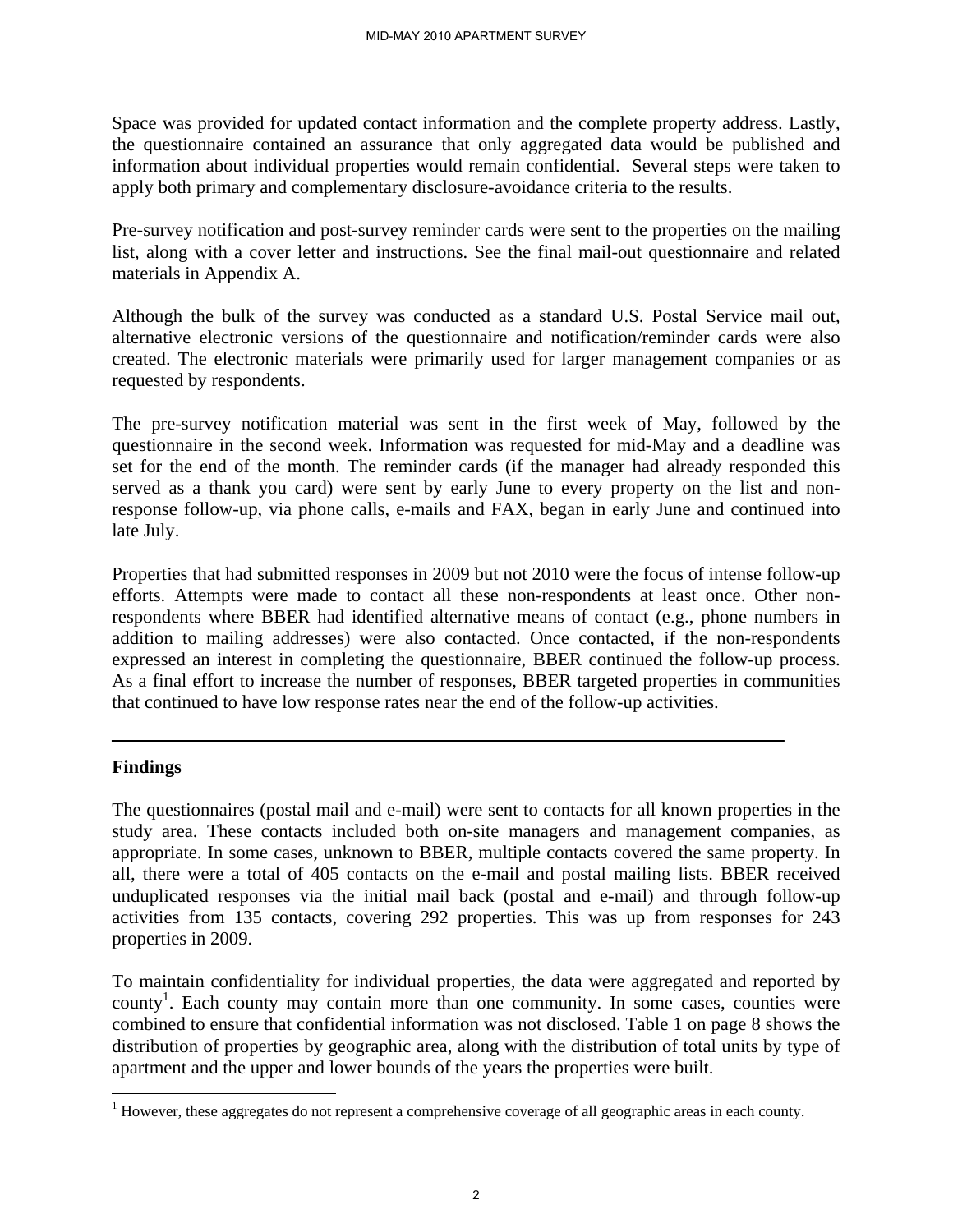Space was provided for updated contact information and the complete property address. Lastly, the questionnaire contained an assurance that only aggregated data would be published and information about individual properties would remain confidential. Several steps were taken to apply both primary and complementary disclosure-avoidance criteria to the results.

Pre-survey notification and post-survey reminder cards were sent to the properties on the mailing list, along with a cover letter and instructions. See the final mail-out questionnaire and related materials in Appendix A.

Although the bulk of the survey was conducted as a standard U.S. Postal Service mail out, alternative electronic versions of the questionnaire and notification/reminder cards were also created. The electronic materials were primarily used for larger management companies or as requested by respondents.

The pre-survey notification material was sent in the first week of May, followed by the questionnaire in the second week. Information was requested for mid-May and a deadline was set for the end of the month. The reminder cards (if the manager had already responded this served as a thank you card) were sent by early June to every property on the list and nonresponse follow-up, via phone calls, e-mails and FAX, began in early June and continued into late July.

Properties that had submitted responses in 2009 but not 2010 were the focus of intense follow-up efforts. Attempts were made to contact all these non-respondents at least once. Other nonrespondents where BBER had identified alternative means of contact (e.g., phone numbers in addition to mailing addresses) were also contacted. Once contacted, if the non-respondents expressed an interest in completing the questionnaire, BBER continued the follow-up process. As a final effort to increase the number of responses, BBER targeted properties in communities that continued to have low response rates near the end of the follow-up activities.

#### **Findings**

 $\overline{a}$ 

The questionnaires (postal mail and e-mail) were sent to contacts for all known properties in the study area. These contacts included both on-site managers and management companies, as appropriate. In some cases, unknown to BBER, multiple contacts covered the same property. In all, there were a total of 405 contacts on the e-mail and postal mailing lists. BBER received unduplicated responses via the initial mail back (postal and e-mail) and through follow-up activities from 135 contacts, covering 292 properties. This was up from responses for 243 properties in 2009.

To maintain confidentiality for individual properties, the data were aggregated and reported by county<sup>1</sup>. Each county may contain more than one community. In some cases, counties were combined to ensure that confidential information was not disclosed. Table 1 on page 8 shows the distribution of properties by geographic area, along with the distribution of total units by type of apartment and the upper and lower bounds of the years the properties were built.

 $1$  However, these aggregates do not represent a comprehensive coverage of all geographic areas in each county.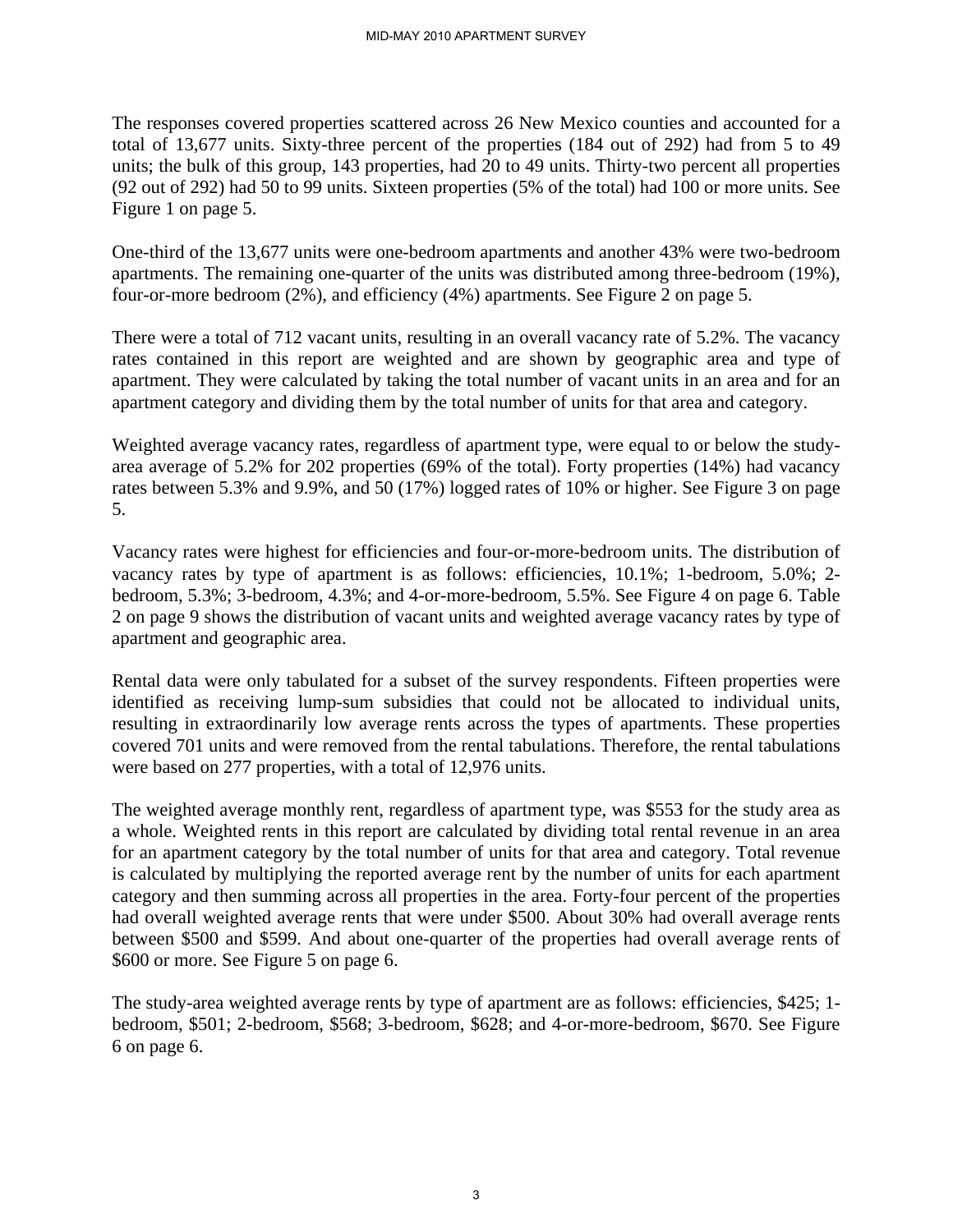The responses covered properties scattered across 26 New Mexico counties and accounted for a total of 13,677 units. Sixty-three percent of the properties (184 out of 292) had from 5 to 49 units; the bulk of this group, 143 properties, had 20 to 49 units. Thirty-two percent all properties (92 out of 292) had 50 to 99 units. Sixteen properties (5% of the total) had 100 or more units. See Figure 1 on page 5.

One-third of the 13,677 units were one-bedroom apartments and another 43% were two-bedroom apartments. The remaining one-quarter of the units was distributed among three-bedroom (19%), four-or-more bedroom (2%), and efficiency (4%) apartments. See Figure 2 on page 5.

There were a total of 712 vacant units, resulting in an overall vacancy rate of 5.2%. The vacancy rates contained in this report are weighted and are shown by geographic area and type of apartment. They were calculated by taking the total number of vacant units in an area and for an apartment category and dividing them by the total number of units for that area and category.

Weighted average vacancy rates, regardless of apartment type, were equal to or below the studyarea average of 5.2% for 202 properties (69% of the total). Forty properties (14%) had vacancy rates between 5.3% and 9.9%, and 50 (17%) logged rates of 10% or higher. See Figure 3 on page 5.

Vacancy rates were highest for efficiencies and four-or-more-bedroom units. The distribution of vacancy rates by type of apartment is as follows: efficiencies, 10.1%; 1-bedroom, 5.0%; 2 bedroom, 5.3%; 3-bedroom, 4.3%; and 4-or-more-bedroom, 5.5%. See Figure 4 on page 6. Table 2 on page 9 shows the distribution of vacant units and weighted average vacancy rates by type of apartment and geographic area.

Rental data were only tabulated for a subset of the survey respondents. Fifteen properties were identified as receiving lump-sum subsidies that could not be allocated to individual units, resulting in extraordinarily low average rents across the types of apartments. These properties covered 701 units and were removed from the rental tabulations. Therefore, the rental tabulations were based on 277 properties, with a total of 12,976 units.

The weighted average monthly rent, regardless of apartment type, was \$553 for the study area as a whole. Weighted rents in this report are calculated by dividing total rental revenue in an area for an apartment category by the total number of units for that area and category. Total revenue is calculated by multiplying the reported average rent by the number of units for each apartment category and then summing across all properties in the area. Forty-four percent of the properties had overall weighted average rents that were under \$500. About 30% had overall average rents between \$500 and \$599. And about one-quarter of the properties had overall average rents of \$600 or more. See Figure 5 on page 6.

The study-area weighted average rents by type of apartment are as follows: efficiencies, \$425; 1 bedroom, \$501; 2-bedroom, \$568; 3-bedroom, \$628; and 4-or-more-bedroom, \$670. See Figure 6 on page 6.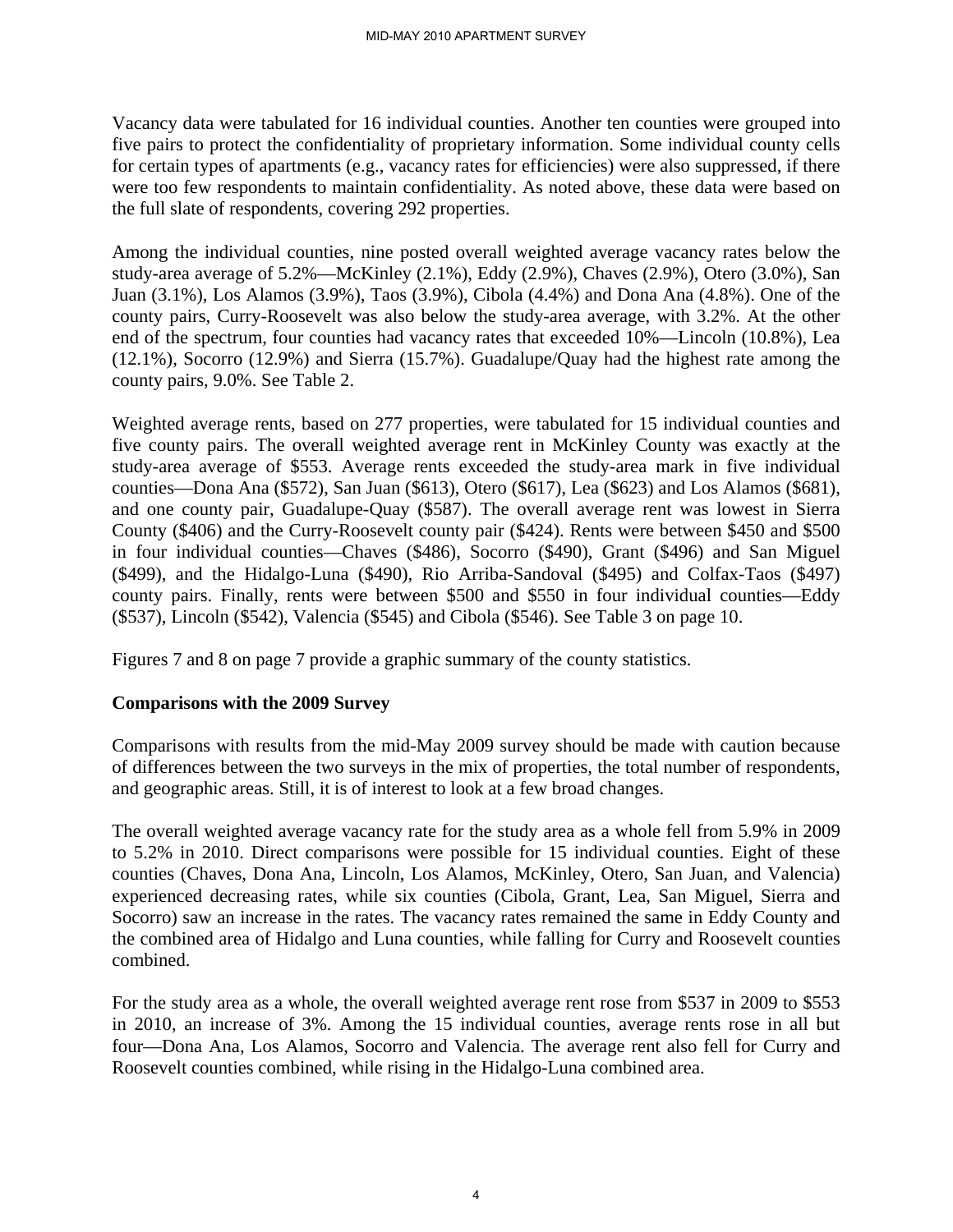Vacancy data were tabulated for 16 individual counties. Another ten counties were grouped into five pairs to protect the confidentiality of proprietary information. Some individual county cells for certain types of apartments (e.g., vacancy rates for efficiencies) were also suppressed, if there were too few respondents to maintain confidentiality. As noted above, these data were based on the full slate of respondents, covering 292 properties.

Among the individual counties, nine posted overall weighted average vacancy rates below the study-area average of 5.2%—McKinley (2.1%), Eddy (2.9%), Chaves (2.9%), Otero (3.0%), San Juan (3.1%), Los Alamos (3.9%), Taos (3.9%), Cibola (4.4%) and Dona Ana (4.8%). One of the county pairs, Curry-Roosevelt was also below the study-area average, with 3.2%. At the other end of the spectrum, four counties had vacancy rates that exceeded 10%—Lincoln (10.8%), Lea (12.1%), Socorro (12.9%) and Sierra (15.7%). Guadalupe/Quay had the highest rate among the county pairs, 9.0%. See Table 2.

Weighted average rents, based on 277 properties, were tabulated for 15 individual counties and five county pairs. The overall weighted average rent in McKinley County was exactly at the study-area average of \$553. Average rents exceeded the study-area mark in five individual counties—Dona Ana (\$572), San Juan (\$613), Otero (\$617), Lea (\$623) and Los Alamos (\$681), and one county pair, Guadalupe-Quay (\$587). The overall average rent was lowest in Sierra County (\$406) and the Curry-Roosevelt county pair (\$424). Rents were between \$450 and \$500 in four individual counties—Chaves (\$486), Socorro (\$490), Grant (\$496) and San Miguel (\$499), and the Hidalgo-Luna (\$490), Rio Arriba-Sandoval (\$495) and Colfax-Taos (\$497) county pairs. Finally, rents were between \$500 and \$550 in four individual counties—Eddy (\$537), Lincoln (\$542), Valencia (\$545) and Cibola (\$546). See Table 3 on page 10.

Figures 7 and 8 on page 7 provide a graphic summary of the county statistics.

#### **Comparisons with the 2009 Survey**

Comparisons with results from the mid-May 2009 survey should be made with caution because of differences between the two surveys in the mix of properties, the total number of respondents, and geographic areas. Still, it is of interest to look at a few broad changes.

The overall weighted average vacancy rate for the study area as a whole fell from 5.9% in 2009 to 5.2% in 2010. Direct comparisons were possible for 15 individual counties. Eight of these counties (Chaves, Dona Ana, Lincoln, Los Alamos, McKinley, Otero, San Juan, and Valencia) experienced decreasing rates, while six counties (Cibola, Grant, Lea, San Miguel, Sierra and Socorro) saw an increase in the rates. The vacancy rates remained the same in Eddy County and the combined area of Hidalgo and Luna counties, while falling for Curry and Roosevelt counties combined.

For the study area as a whole, the overall weighted average rent rose from \$537 in 2009 to \$553 in 2010, an increase of 3%. Among the 15 individual counties, average rents rose in all but four—Dona Ana, Los Alamos, Socorro and Valencia. The average rent also fell for Curry and Roosevelt counties combined, while rising in the Hidalgo-Luna combined area.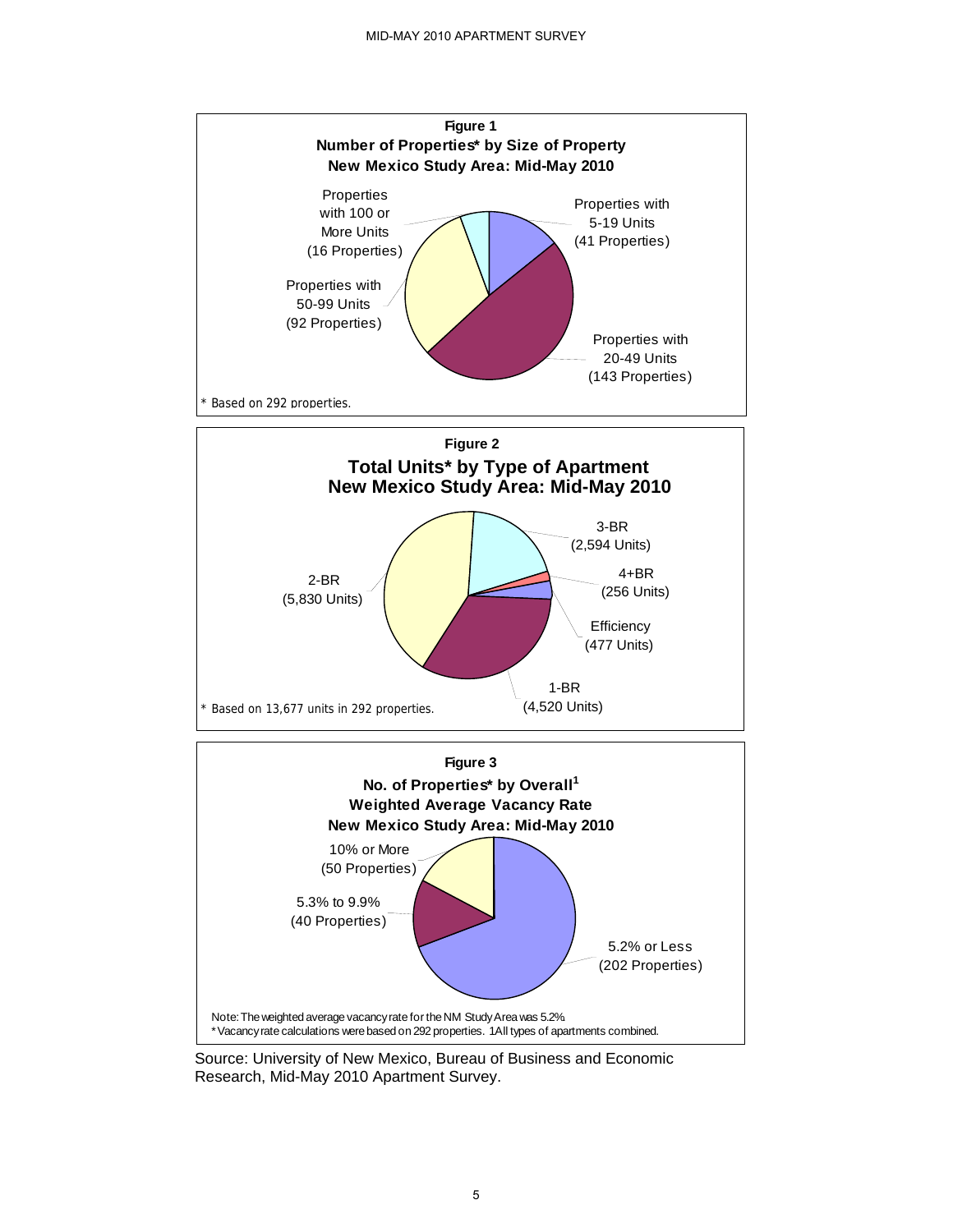

 Source: University of New Mexico, Bureau of Business and Economic Research, Mid-May 2010 Apartment Survey.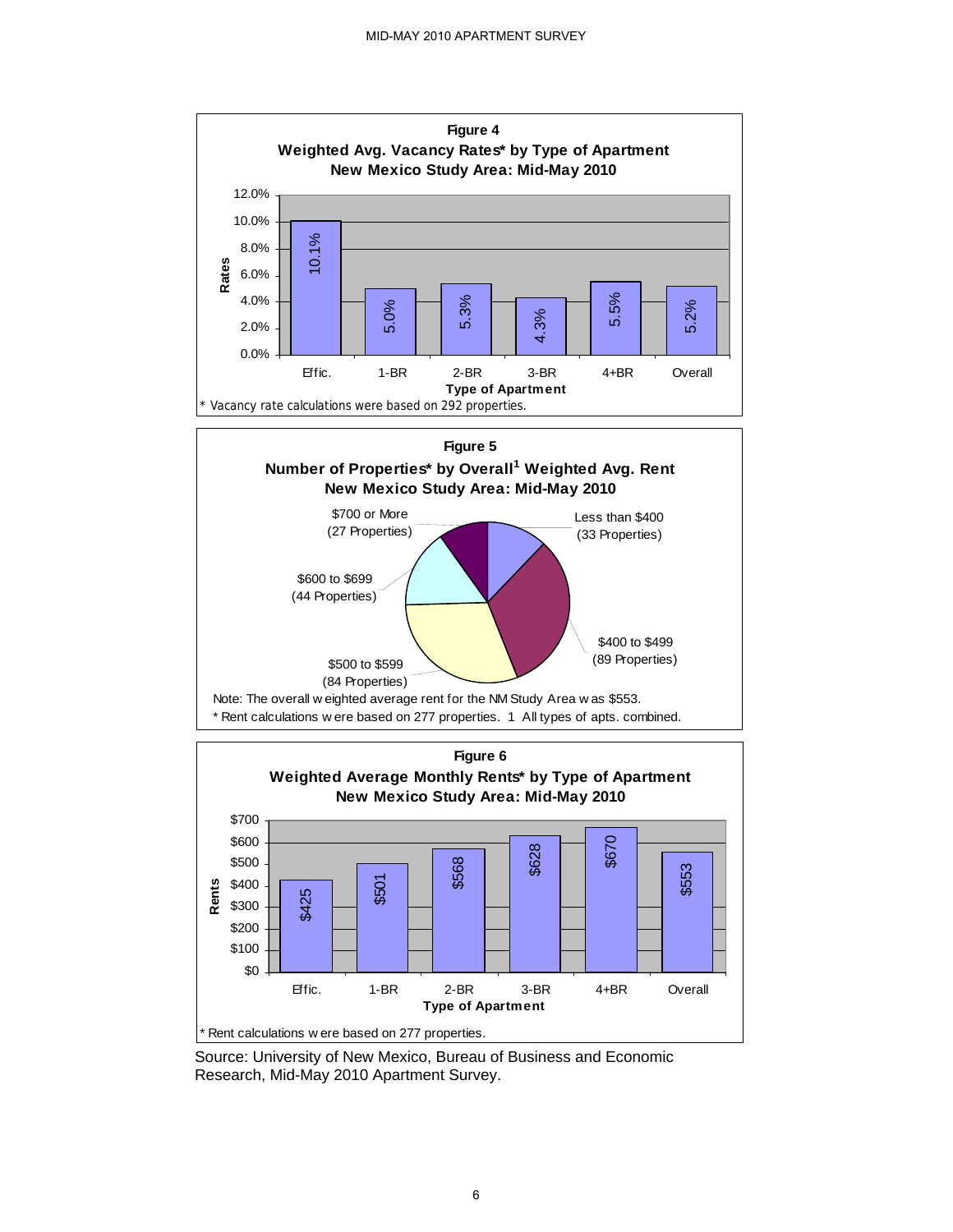

 Source: University of New Mexico, Bureau of Business and Economic Research, Mid-May 2010 Apartment Survey.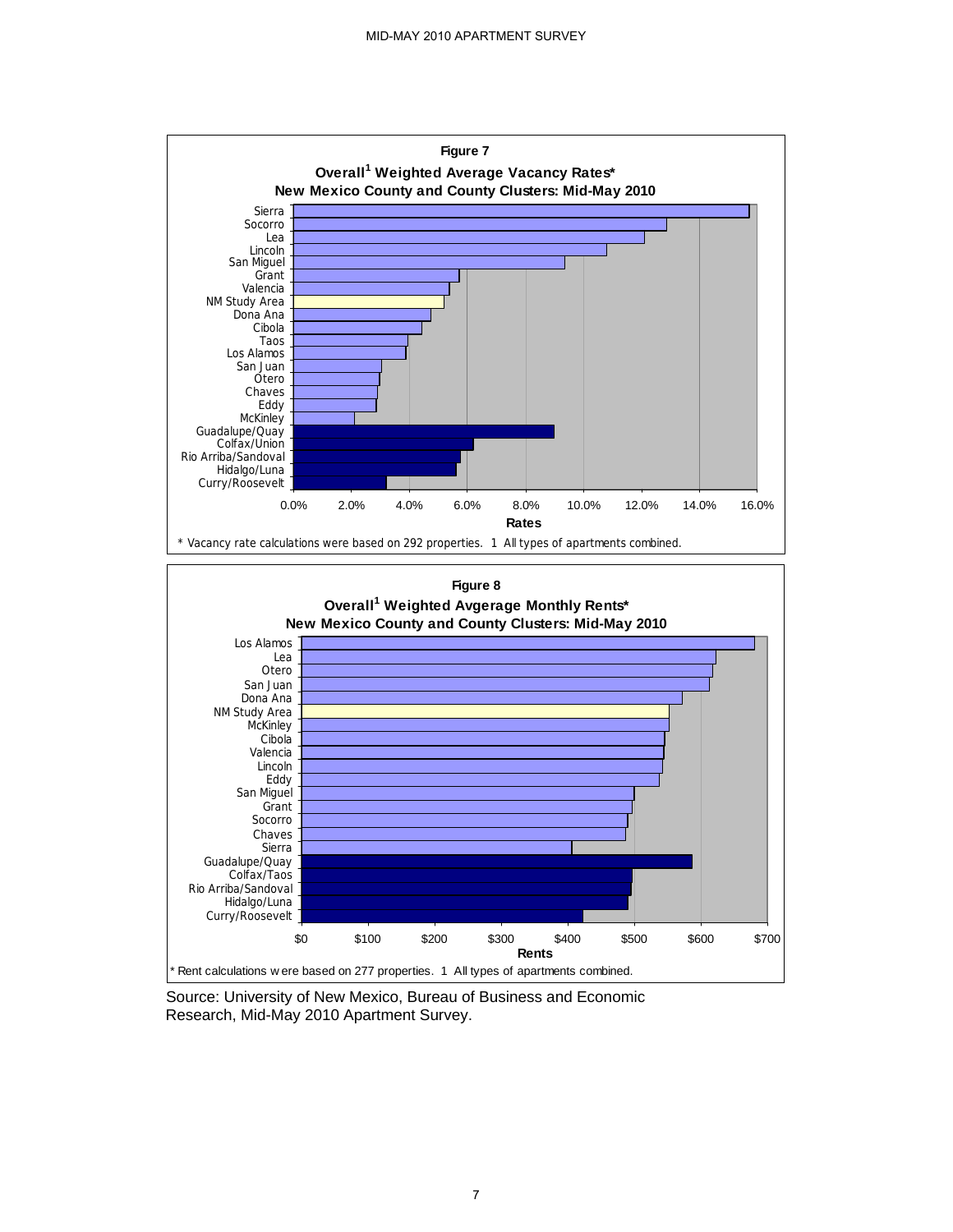

Source: University of New Mexico, Bureau of Business and Economic Research, Mid-May 2010 Apartment Survey.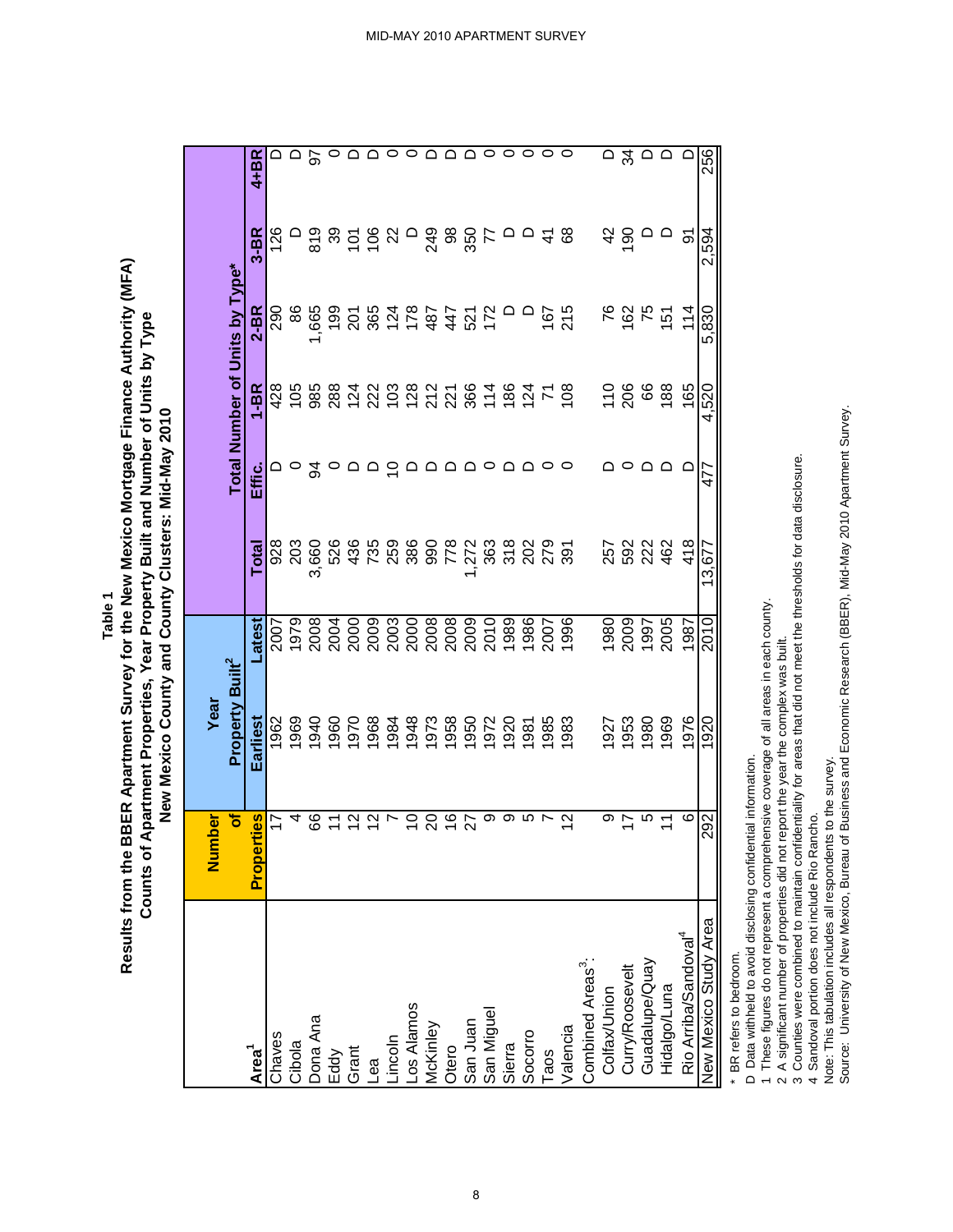**Table 1**

# Results from the BBER Apartment Survey for the New Mexico Mortgage Finance Authority (MFA) **Results from the BBER Apartment Survey for the New Mexico Mortgage Finance Authority (MFA)** Counts of Apartment Properties, Year Property Built and Number of Units by Type **Counts of Apartment Properties, Year Property Built and Number of Units by Type** New Mexico County and County Clusters: Mid-May 2010 **New Mexico County and County Clusters: Mid-May 2010**

|                                                                                                    | Number            | Year                        |                                       |                   |          |                  |                                |                 |          |
|----------------------------------------------------------------------------------------------------|-------------------|-----------------------------|---------------------------------------|-------------------|----------|------------------|--------------------------------|-----------------|----------|
|                                                                                                    | ৳                 | Property Built <sup>2</sup> |                                       |                   |          |                  | Total Number of Units by Type* |                 |          |
| Area <sup>1</sup>                                                                                  | es<br>Properti    | Earliest                    | <b>atest</b>                          | Total             | Effic.   | $1-BR$           | $2 - BR$                       | $3-BR$          | $4+BR$   |
| Chaves                                                                                             | $\overline{1}$    | 962                         | 2007                                  |                   |          | 428              | 290                            | 126             |          |
| Cibola                                                                                             | 4                 | 969                         | 1979                                  | 928<br>203        |          |                  | 86                             |                 |          |
| Dona Ana                                                                                           | 89                | 1940                        | 2008                                  | 3,660             | र्ठ      | $105$<br>$385$   | ,665                           | 819             | 50       |
| Eddy                                                                                               |                   | 0961                        | 2004                                  |                   |          |                  | 199                            | ႙               |          |
| Grant                                                                                              | $\frac{2}{3}$     | 0261                        |                                       |                   |          | 8842882584824828 |                                | $\overline{5}$  |          |
| Lea                                                                                                | $\frac{2}{3}$     | 968                         | 2000<br>2003<br>20008<br>2008<br>2009 |                   |          |                  |                                | $\frac{8}{100}$ |          |
| Lincoln<br> Los Alamos<br> McKinley<br> Otero                                                      | Ľ                 | 1984                        |                                       |                   | <u>으</u> |                  |                                | ଧ               |          |
|                                                                                                    | $\overline{C}$    | 948                         |                                       |                   |          |                  |                                | $\Box$          |          |
|                                                                                                    | $\Omega$          | 973                         |                                       |                   |          |                  |                                | 249             |          |
|                                                                                                    | $\frac{6}{1}$     | 958                         |                                       |                   |          |                  |                                | 8               |          |
| San Juan<br>San Miguel                                                                             | 27                | 950                         |                                       |                   |          |                  | <b>2825842525</b>              | 350             |          |
|                                                                                                    | თ                 | 1972                        | 2010                                  |                   |          |                  |                                |                 |          |
| Sierra                                                                                             | တ                 | 020                         | 1989                                  |                   |          |                  |                                |                 |          |
| Socorro                                                                                            | Ю                 | 981                         | 1986                                  |                   |          | $rac{88}{27}$    |                                |                 |          |
| Taos                                                                                               |                   | 985                         | 2007                                  |                   |          |                  | 167                            | $\frac{4}{5}$   |          |
| Valencia                                                                                           | $\mathbf{\Omega}$ | 983                         | 1996                                  |                   |          | 108              | 215                            | 8               |          |
| Combined Areas <sup>3</sup> :<br>Colfax/Union<br>Curry/Roosevelt<br>Guadalupe/Quay<br>Hidalgo/Luna |                   |                             |                                       |                   |          |                  |                                |                 |          |
|                                                                                                    | თ                 | 927                         | 1980                                  |                   |          | $\frac{10}{206}$ | 76                             | 42              |          |
|                                                                                                    | 17                | 953                         | 2009                                  | 252<br>282<br>284 |          |                  | 162                            | 190             | 34       |
|                                                                                                    | 5                 | 980                         | 1997                                  |                   |          | 66               | 75                             |                 |          |
|                                                                                                    |                   | 1969                        | 2005                                  |                   |          | 188              | 151                            |                 | ≏        |
| Rio Arriba/Sandoval <sup>4</sup>                                                                   | 6                 | 1976                        | 1987                                  | 418               |          | 165              | $\frac{4}{3}$                  | ଚ               | $\Omega$ |
| New Mexico Study Area                                                                              | 292               | 1920                        | 2010                                  | 13.677            | 477      | 4,520            | 5,830                          | 2,594           | 256      |

\* BR refers to bedroom. \* BR refers to bedroom.

D Data withheld to avoid disclosing confidential information. D Data withheld to avoid disclosing confidential information.

1 These figures do not represent a comprehensive coverage of all areas in each county. 1 These figures do not represent a comprehensive coverage of all areas in each county.

2 A significant number of properties did not report the year the complex was built. 2 A significant number of properties did not report the year the complex was built.

3 Counties were combined to maintain confidentiality for areas that did not meet the thresholds for data disclosure. 3 Counties were combined to maintain confidentiality for areas that did not meet the thresholds for data disclosure.

4 Sandoval portion does not include Rio Rancho.

4 Sandoval portion does not include Rio Rancho. Note: This tabulation includes all respondents to the survey.

Note: This tabulation includes all respondents to the survey.<br>Source: University of New Mexico, Bureau of Business and Economic Research (BBER), Mid-May 2010 Apartment Survey. Source: University of New Mexico, Bureau of Business and Economic Research (BBER), Mid-May 2010 Apartment Survey.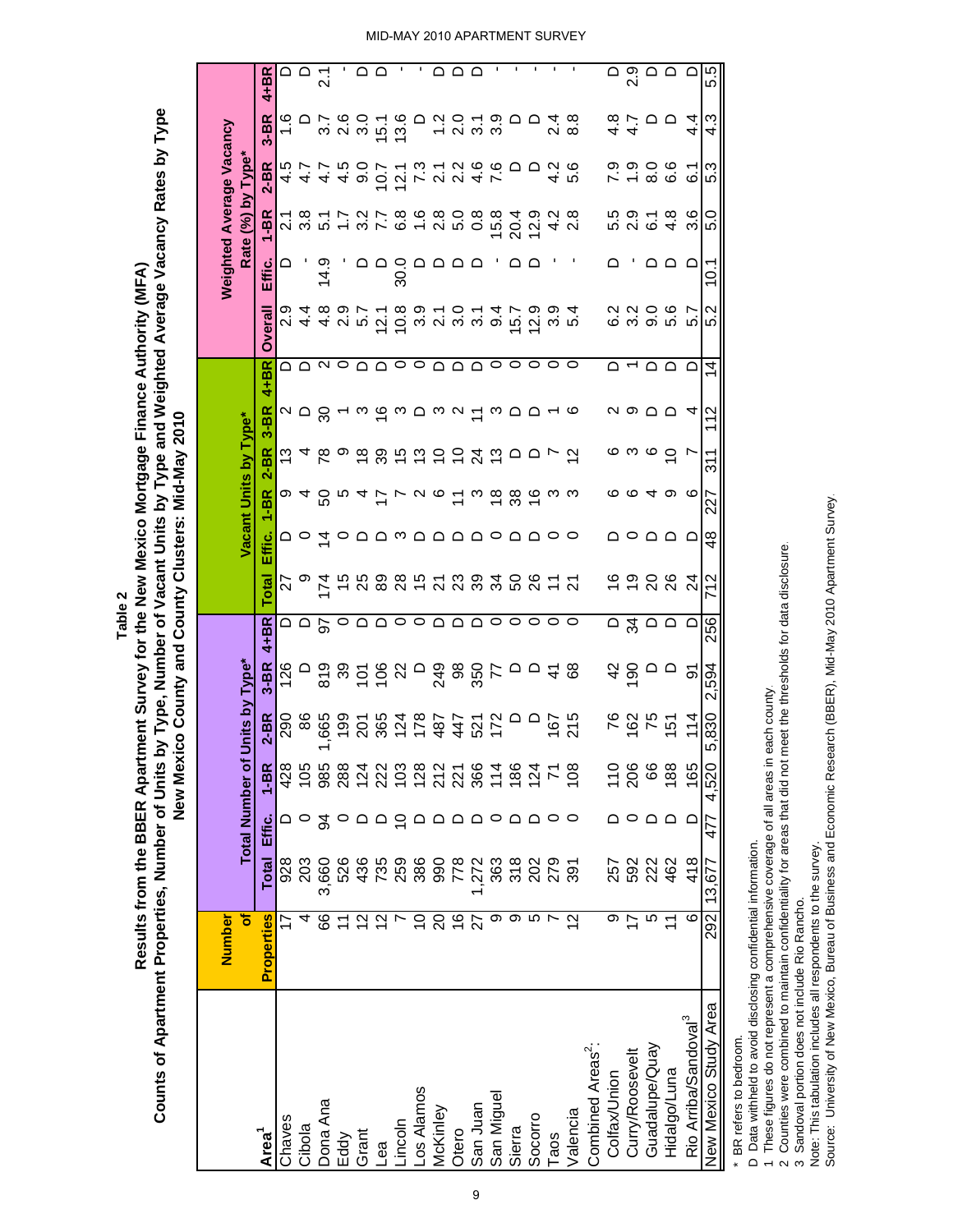|                                  |                         |                   |                         | New Mex                | <u>co</u>         | County and County Clusters: Mid-May 2010 |                                                                                                                                                                                                                                                                                                                                                                                                                                                                 |                     |                           |                       |                       |                           |                                                       |        |                          |                                                                                   |                             |                |
|----------------------------------|-------------------------|-------------------|-------------------------|------------------------|-------------------|------------------------------------------|-----------------------------------------------------------------------------------------------------------------------------------------------------------------------------------------------------------------------------------------------------------------------------------------------------------------------------------------------------------------------------------------------------------------------------------------------------------------|---------------------|---------------------------|-----------------------|-----------------------|---------------------------|-------------------------------------------------------|--------|--------------------------|-----------------------------------------------------------------------------------|-----------------------------|----------------|
|                                  | <b>Number</b>           |                   |                         |                        |                   |                                          |                                                                                                                                                                                                                                                                                                                                                                                                                                                                 |                     |                           |                       |                       |                           |                                                       |        | Weighted Average Vacancy |                                                                                   |                             |                |
|                                  | ð                       |                   |                         | <b>Total Number of</b> | Units by Type*    |                                          |                                                                                                                                                                                                                                                                                                                                                                                                                                                                 |                     | Vacant Units by Type*     |                       |                       |                           |                                                       |        | Rate (%) by Type*        |                                                                                   |                             |                |
| Area <sup>1</sup>                | <b>Properties</b>       | Total             | Effic.                  | $1 - BR$               | $2-BR$            | $3-BR$                                   | $4 + B R$                                                                                                                                                                                                                                                                                                                                                                                                                                                       | <b>Total</b>        | Effic.                    | $1 - BR$              | $3 - BR$<br>$2 - B R$ | $4 + BR$                  | <b>Overall</b>                                        | Effic. | $1 - BR$                 | $2-BR$                                                                            | $3-BR$                      | $4 + BR$       |
| Chaves                           | 77                      | 928               |                         | 428                    | 290               | 126                                      |                                                                                                                                                                                                                                                                                                                                                                                                                                                                 | 27                  |                           |                       |                       |                           | ი.<br>ა                                               |        |                          | 4.5                                                                               |                             |                |
| Cibola                           | 4                       | 203               |                         | 105                    | 86                | $\Box$                                   | $\overline{\circ}$ $\overline{\circ}$                                                                                                                                                                                                                                                                                                                                                                                                                           | တ                   | $\circ$ $\vec{a}$ $\circ$ | o 4 8 r 4 F L U @ I w |                       | 2007 - 2600 2007 2000 - 2 | A A N º A A O O A A A O O O                           |        | $7.877$<br>$7.877$       | 4.7                                                                               |                             | ≏              |
| Dona Ana                         | 89                      | 3,660             | र्ड                     | 985                    | 665               |                                          |                                                                                                                                                                                                                                                                                                                                                                                                                                                                 |                     |                           |                       |                       |                           |                                                       | 14.9   |                          |                                                                                   |                             | 2.1            |
| Eddy                             |                         | 526               |                         |                        | 199               |                                          |                                                                                                                                                                                                                                                                                                                                                                                                                                                                 | 45                  |                           |                       |                       |                           | $\begin{array}{c} 4 & 0 & 0 \\ 4 & 0 & 0 \end{array}$ |        |                          | 449 O G L V V A 4 L<br>L N O L L U L V O O O U N O<br>L N O L L U L V O O O U N O | $7,60$<br>$7,60$            |                |
| Grant                            | $\tilde{c}$             |                   |                         |                        | <u>ក្ត</u>        |                                          |                                                                                                                                                                                                                                                                                                                                                                                                                                                                 | 25                  |                           |                       |                       |                           |                                                       |        |                          |                                                                                   |                             | $\Omega$       |
| ea                               | $\tilde{c}$             | 436<br>759<br>759 | $\circ$ $\circ$         | 8842882588482588824288 |                   |                                          | $\circ$ $\circ$ $\circ$                                                                                                                                                                                                                                                                                                                                                                                                                                         |                     | aamaaaaoaaoo              |                       |                       |                           | 12.1                                                  |        | $207808$<br>$279808$     |                                                                                   | 15.1                        |                |
| incoln                           |                         |                   |                         |                        |                   |                                          |                                                                                                                                                                                                                                                                                                                                                                                                                                                                 |                     |                           |                       |                       |                           | 10.8                                                  |        |                          |                                                                                   | 13.6                        | $\blacksquare$ |
| .os Alamos                       | S                       |                   |                         |                        |                   |                                          | ○                                                                                                                                                                                                                                                                                                                                                                                                                                                               |                     |                           |                       |                       |                           |                                                       |        |                          |                                                                                   | ≏                           | ٠              |
| vekinley                         | 20                      | 386<br>990        |                         |                        |                   |                                          |                                                                                                                                                                                                                                                                                                                                                                                                                                                                 |                     |                           |                       |                       |                           |                                                       |        |                          |                                                                                   |                             | ≏              |
| Otero                            | $\frac{6}{1}$           | 7723820255        | $\circ$ $\circ$ $\circ$ |                        | 82787722<br>82877 |                                          | $\begin{array}{ccc}\n\multicolumn{1}{c}\n\multicolumn{1}{c}\n\multicolumn{1}{c}\n\multicolumn{1}{c}\n\multicolumn{1}{c}\n\multicolumn{1}{c}\n\multicolumn{1}{c}\n\multicolumn{1}{c}\n\multicolumn{1}{c}\n\multicolumn{1}{c}\n\multicolumn{1}{c}\n\multicolumn{1}{c}\n\multicolumn{1}{c}\n\multicolumn{1}{c}\n\multicolumn{1}{c}\n\multicolumn{1}{c}\n\multicolumn{1}{c}\n\multicolumn{1}{c}\n\multicolumn{1}{c}\n\multicolumn{1}{c}\n\multicolumn{1}{c}\n\mult$ | <b>882528836852</b> |                           |                       |                       |                           | coca<br>cococo                                        |        | 0.8                      |                                                                                   | 7070                        | $\Omega$       |
| San Juan                         | 77                      |                   |                         |                        |                   |                                          |                                                                                                                                                                                                                                                                                                                                                                                                                                                                 |                     |                           |                       |                       |                           |                                                       |        |                          |                                                                                   |                             |                |
| San Miguel                       | တ                       |                   |                         |                        |                   |                                          |                                                                                                                                                                                                                                                                                                                                                                                                                                                                 |                     |                           |                       |                       |                           |                                                       |        | 15.8                     |                                                                                   |                             | 1              |
| Sierra                           | တ                       |                   | $\Box$                  |                        | $\circ$           |                                          |                                                                                                                                                                                                                                                                                                                                                                                                                                                                 |                     |                           |                       |                       |                           | 15.7                                                  | ם ם    | 20.4                     |                                                                                   | ≏                           | J.             |
| Socorro                          | <b>ι</b> Ω              |                   | $\Omega$                |                        |                   |                                          |                                                                                                                                                                                                                                                                                                                                                                                                                                                                 |                     |                           | <u>ထုတ္တထု</u> က္ က   |                       |                           | 12.9                                                  |        | 12.9                     |                                                                                   |                             | ı              |
| <b>Faos</b>                      |                         |                   |                         |                        | $167$<br>$215$    |                                          | $\circ$                                                                                                                                                                                                                                                                                                                                                                                                                                                         |                     |                           |                       |                       |                           | 3.9<br>$\circ$                                        |        | 4.2                      |                                                                                   | $\frac{4}{9}$ $\frac{8}{9}$ | ٠              |
| Valencia                         | $\frac{2}{\sqrt{2}}$    |                   |                         |                        |                   |                                          | $\circ$                                                                                                                                                                                                                                                                                                                                                                                                                                                         |                     |                           |                       |                       |                           | $5\overline{4}$<br>$\circ$                            |        | $\frac{8}{2}$            |                                                                                   |                             | 1              |
| Combined Areas <sup>2</sup> :    |                         |                   |                         |                        |                   |                                          |                                                                                                                                                                                                                                                                                                                                                                                                                                                                 |                     |                           |                       |                       |                           |                                                       |        |                          |                                                                                   |                             |                |
| Colfax/Union                     | თ                       | 257               |                         | $\frac{10}{206}$       | <b>762</b>        | $rac{4}{5}$                              |                                                                                                                                                                                                                                                                                                                                                                                                                                                                 |                     |                           |                       |                       |                           | 6.2<br>∩ →                                            |        | 5.5                      | 7.9                                                                               | $4.7$<br>$4.7$              | ≏              |
| Curry/Roosevelt                  | 17                      | 592<br>223<br>462 |                         |                        |                   |                                          | ≏≈≏≏                                                                                                                                                                                                                                                                                                                                                                                                                                                            | မှ ၁                |                           | ဖဖ                    | <u>ဖ က ဖ ပ</u>        |                           | 3000                                                  |        | $2.\overline{9}$         | $\frac{0}{1}$                                                                     |                             |                |
| Guadalupe/Quay                   | 5                       |                   | ם ם                     | 89                     | 75<br>151         | $\Omega$                                 |                                                                                                                                                                                                                                                                                                                                                                                                                                                                 | 208                 |                           | ᠂ → ∞                 |                       |                           | $\Omega$                                              |        | $\overline{6}$ .         | 0.0<br>0.0                                                                        | $\Omega$                    |                |
| Hidalgo/Luna                     | $\overline{\mathbf{1}}$ |                   |                         | 188                    |                   |                                          |                                                                                                                                                                                                                                                                                                                                                                                                                                                                 |                     | 2022 2                    |                       |                       |                           |                                                       | ם ם ם  | $4.\overline{8}$         |                                                                                   |                             | ್ಷ ೧ ೧ ೧<br>ನ  |
| Rio Arriba/Sandoval <sup>3</sup> | ဖ                       | 418               | $\Box$                  | 165                    | $\frac{4}{3}$     | $\overline{5}$                           | ≏                                                                                                                                                                                                                                                                                                                                                                                                                                                               | $\overline{2}$      |                           | ဖ                     | L,                    | 4                         | L<br>ιó<br>≏                                          |        | 3.6                      | $\overline{6}$ .                                                                  | प<br>प                      |                |
| New Mexico Study Area            | 292                     | 13,677            | 477                     | 4,520                  | 5,830             | -594<br>2.                               | 256                                                                                                                                                                                                                                                                                                                                                                                                                                                             | 712                 | $\frac{8}{4}$             | 227                   | $\frac{311}{2}$       | 112                       | 5.2<br>4                                              | 10.1   | 5.0                      | 5.3                                                                               | 4.3                         | 5.5            |
|                                  |                         |                   |                         |                        |                   |                                          |                                                                                                                                                                                                                                                                                                                                                                                                                                                                 |                     |                           |                       |                       |                           |                                                       |        |                          |                                                                                   |                             |                |

9

\* BR refers to bedroom. \* BR refers to bedroom.

D Data withheld to avoid disclosing confidential information. D Data withheld to avoid disclosing confidential information.

1 These figures do not represent a comprehensive coverage of all areas in each county.

1 These figures do not represent a comprehensive coverage of all areas in each county.<br>2 Counties were combined to maintain confidentiality for areas that did not meet the thresholds for data disclosure.<br>3 Sandoval portion 2 Counties were combined to maintain confidentiality for areas that did not meet the thresholds for data disclosure.

3 Sandoval portion does not include Rio Rancho.

Note: This tabulation includes all respondents to the survey.

Note: This tabulation includes all respondents to the survey.<br>Source: University of New Mexico, Bureau of Business and Economic Research (BBER), Mid-May 2010 Apartment Survey. Source: University of New Mexico, Bureau of Business and Economic Research (BBER), Mid-May 2010 Apartment Survey.

**Table 2**

Counts of Apartment Properties, Number of Units by Type, Number of Vacant Units by Type and Weighted Average Vacancy Rates by Type **Counts of Apartment Properties, Number of Units by Type, Number of Vacant Units by Type and Weighted Average Vacancy Rates by Type** Results from the BBER Apartment Survey for the New Mexico Mortgage Finance Authority (MFA) **Results from the BBER Apartment Survey for the New Mexico Mortgage Finance Authority (MFA)**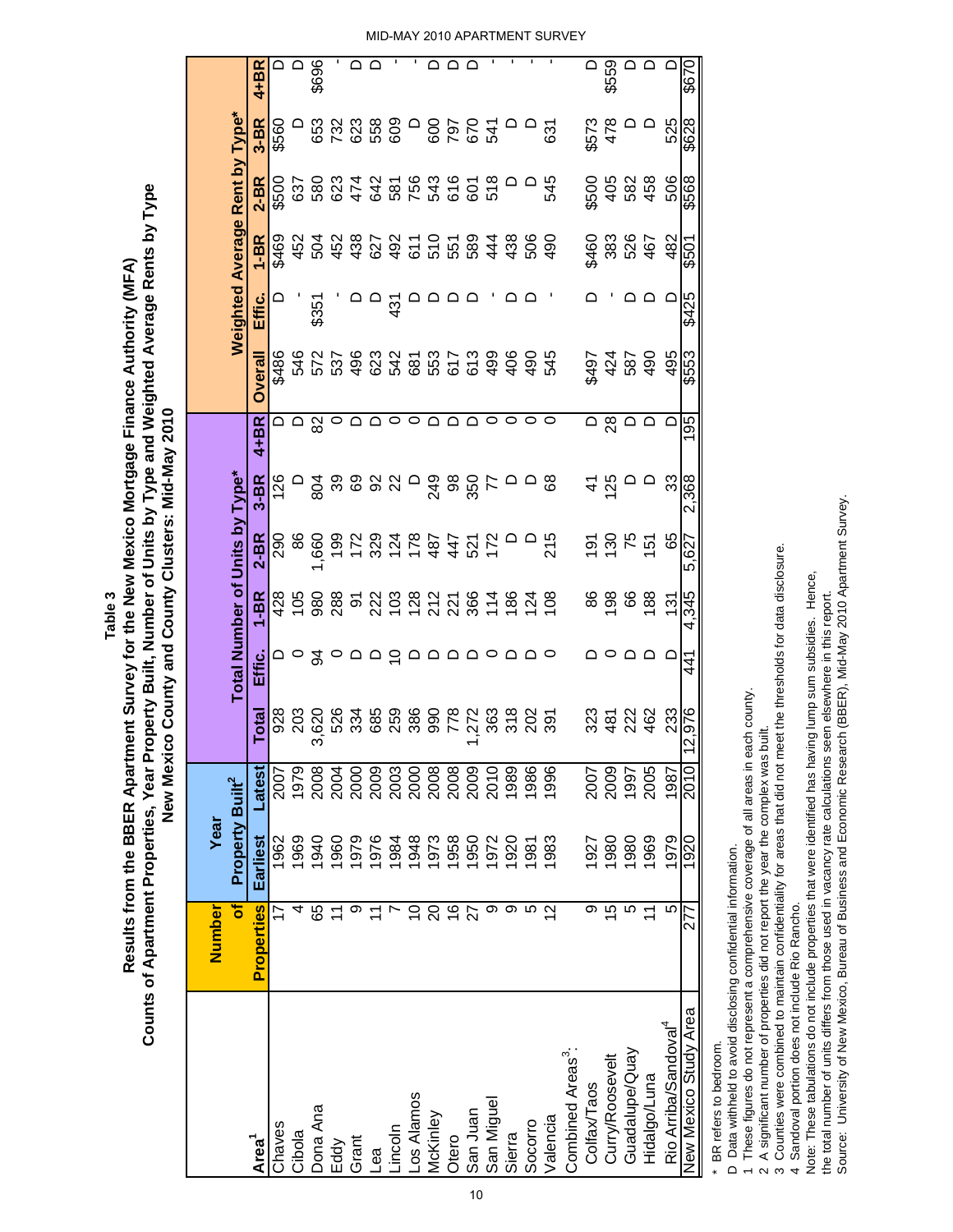|                                  | Number                   | Year                        |                                      |            |                                                                                                                               |                                     |                         |          |                         |                     |                                |                            |                           |              |           |
|----------------------------------|--------------------------|-----------------------------|--------------------------------------|------------|-------------------------------------------------------------------------------------------------------------------------------|-------------------------------------|-------------------------|----------|-------------------------|---------------------|--------------------------------|----------------------------|---------------------------|--------------|-----------|
|                                  | $\overline{\bullet}$     | Property Built <sup>2</sup> |                                      |            | Total Number of Units by Type*                                                                                                |                                     |                         |          |                         |                     | Weighted Average Rent by Type* |                            |                           |              |           |
| Area <sup>1</sup>                | <b>Properties</b>        | Earliest                    | Latest                               | Total      | ت<br>Effic                                                                                                                    | $1 - BR$                            | $2 - BR$                | $3 - BR$ | 4+BR                    | <b>Overall</b>      | Effic.                         | $1 - BR$                   | $2-BR$                    | $3-BR$       | 4+BR      |
| Chaves                           |                          | 1962                        | 2007                                 |            |                                                                                                                               |                                     | 290                     |          |                         | \$486               |                                |                            |                           | \$560        |           |
| Cibola                           |                          | 1969                        | 1979                                 | 828<br>203 |                                                                                                                               |                                     | 8                       |          | ם ם <sup>-</sup>        |                     |                                |                            |                           |              |           |
| Dona Ana                         | 89                       | 1940                        | 2008                                 | 3,620      | 24                                                                                                                            |                                     |                         |          | 82                      | 540<br>5737<br>587  | \$351                          |                            |                           |              | \$696     |
| Eddy                             |                          | 1960                        |                                      |            |                                                                                                                               |                                     | 66923348744527589927528 |          | $\circ$                 |                     |                                |                            |                           | 323880087675 |           |
| Grant                            |                          | 1979                        | 2004<br>2008<br>2003<br>2008<br>2008 |            | ு - - - -                                                                                                                     |                                     |                         |          |                         |                     |                                |                            |                           |              |           |
| ea                               |                          | 1976                        |                                      |            |                                                                                                                               |                                     |                         |          |                         |                     |                                |                            |                           |              |           |
| -incoln                          |                          | 1984                        |                                      |            |                                                                                                                               |                                     |                         |          |                         |                     | 431                            |                            |                           |              |           |
| os Alamos                        | S                        | 1948                        |                                      |            |                                                                                                                               |                                     |                         |          |                         |                     |                                |                            |                           |              |           |
| McKinley                         | $\Omega$                 | 1973                        |                                      |            | $\begin{array}{c} \n\Box \quad \Box \quad \Box \quad \Box \quad \Box \quad \Box \quad \Box \quad \Box \quad \Box \end{array}$ |                                     |                         |          |                         | 48248575<br>4856555 |                                |                            |                           |              |           |
| Otero                            | $\frac{6}{1}$            | 1958                        |                                      |            |                                                                                                                               |                                     |                         |          |                         |                     | ם ם ם                          |                            |                           |              |           |
| San Juan                         | 27                       | 1950                        | 2009<br>2010<br>1989                 |            |                                                                                                                               |                                     |                         |          |                         |                     |                                |                            |                           |              | $\bigcap$ |
| San Miguel                       | თ                        | 1972                        |                                      |            |                                                                                                                               |                                     |                         |          | $\circ$                 |                     |                                |                            |                           |              |           |
| Sierra                           | თ                        | 1920                        |                                      |            |                                                                                                                               |                                     | $\circ$                 |          | 0                       | 499<br>406          | $\Omega$                       |                            |                           |              |           |
| Socorro                          |                          | 1981                        | 1986                                 |            |                                                                                                                               |                                     |                         |          |                         | 490                 |                                |                            |                           |              |           |
| <b>Valencia</b>                  | 2                        | 1983                        | 1996                                 |            |                                                                                                                               | 108                                 | 215                     |          | $\circ$                 | 545                 |                                |                            | 545                       | 631          |           |
| Combined Areas <sup>3</sup> :    |                          |                             |                                      |            |                                                                                                                               |                                     |                         |          |                         |                     |                                |                            |                           |              |           |
| Colfax/Taos                      | თ                        | 1927                        | 2007                                 |            |                                                                                                                               | 86                                  |                         | $\Delta$ | $\overline{\mathsf{d}}$ | \$497               |                                |                            |                           | \$573<br>478 | $\Omega$  |
| Curry/Roosevelt                  | $\overline{5}$           | 1980                        | 2009                                 | 334234     |                                                                                                                               | $rac{8}{9}$ $rac{6}{9}$ $rac{8}{9}$ | <u>មិត្ត ក្នុ</u>       | 125      | 28                      | 424                 |                                | \$460<br>383<br>467<br>467 | 60<br>000<br>0000<br>0000 |              | \$559     |
| Guadalupe/Quay                   |                          | 1980                        | 1997<br>2005                         |            |                                                                                                                               |                                     |                         | ≏        | $\Omega$                | 587                 |                                |                            |                           | $\circ$      | $\circ$   |
| Hidalgo/Luna                     | $\overline{\phantom{0}}$ | 1969                        |                                      |            | $\Box$                                                                                                                        |                                     |                         | $\Omega$ |                         | 490                 |                                |                            |                           |              | $\Omega$  |
| Rio Arriba/Sandoval <sup>4</sup> | ഥ                        | 1979                        | 1987                                 | 233        | ▭                                                                                                                             | $\frac{5}{1}$                       | 65                      | 33       | $\Omega$                | 495                 |                                | 482                        | 506                       | 525          |           |
| New Mexico Study Area            |                          | 1920                        | 2010                                 | 2,976      | 441                                                                                                                           | 4.345                               | 5,627                   | 2,368    | 195                     | \$553               | \$425                          | \$501                      | \$568                     | \$628        | 029\$     |
|                                  |                          |                             |                                      |            |                                                                                                                               |                                     |                         |          |                         |                     |                                |                            |                           |              |           |

Counts of Apartment Properties, Year Property Built, Number of Units by Type and Weighted Average Rents by Type **Counts of Apartment Properties, Year Property Built, Number of Units by Type and Weighted Average Rents by Type** Results from the BBER Apartment Survey for the New Mexico Mortgage Finance Authority (MFA) **Results from the BBER Apartment Survey for the New Mexico Mortgage Finance Authority (MFA)** New Mexico County and County Clusters: Mid-May 2010 **New Mexico County and County Clusters: Mid-May 2010 Table 3**

\* BR refers to bedroom. \* BR refers to bedroom.

D Data withheld to avoid disclosing confidential information. D Data withheld to avoid disclosing confidential information.

1 These figures do not represent a comprehensive coverage of all areas in each county. 1 These figures do not represent a comprehensive coverage of all areas in each county.

2 A significant number of properties did not report the year the complex was built. 2 A significant number of properties did not report the year the complex was built.

3 Counties were combined to maintain confidentiality for areas that did not meet the thresholds for data disclosure. 3 Counties were combined to maintain confidentiality for areas that did not meet the thresholds for data disclosure. 4 Sandoval portion does not include Rio Rancho.

4 Sandoval portion does not include Rio Rancho. Note: These tabulations do not include properties that were identified has having lump sum subsidies. Hence,

Note: These tabulations do not include properties that were identified has having lump sum subsidies. Hence,<br>the total number of units differs from those used in vacancy rate calculations seen elsewhere in this report. the total number of units differs from those used in vacancy rate calculations seen elsewhere in this report.

Source: University of New Mexico, Bureau of Business and Economic Research (BBER), Mid-May 2010 Apartment Survey. Source: University of New Mexico, Bureau of Business and Economic Research (BBER), Mid-May 2010 Apartment Survey.

MID-MAY 2010 APARTMENT SURVEY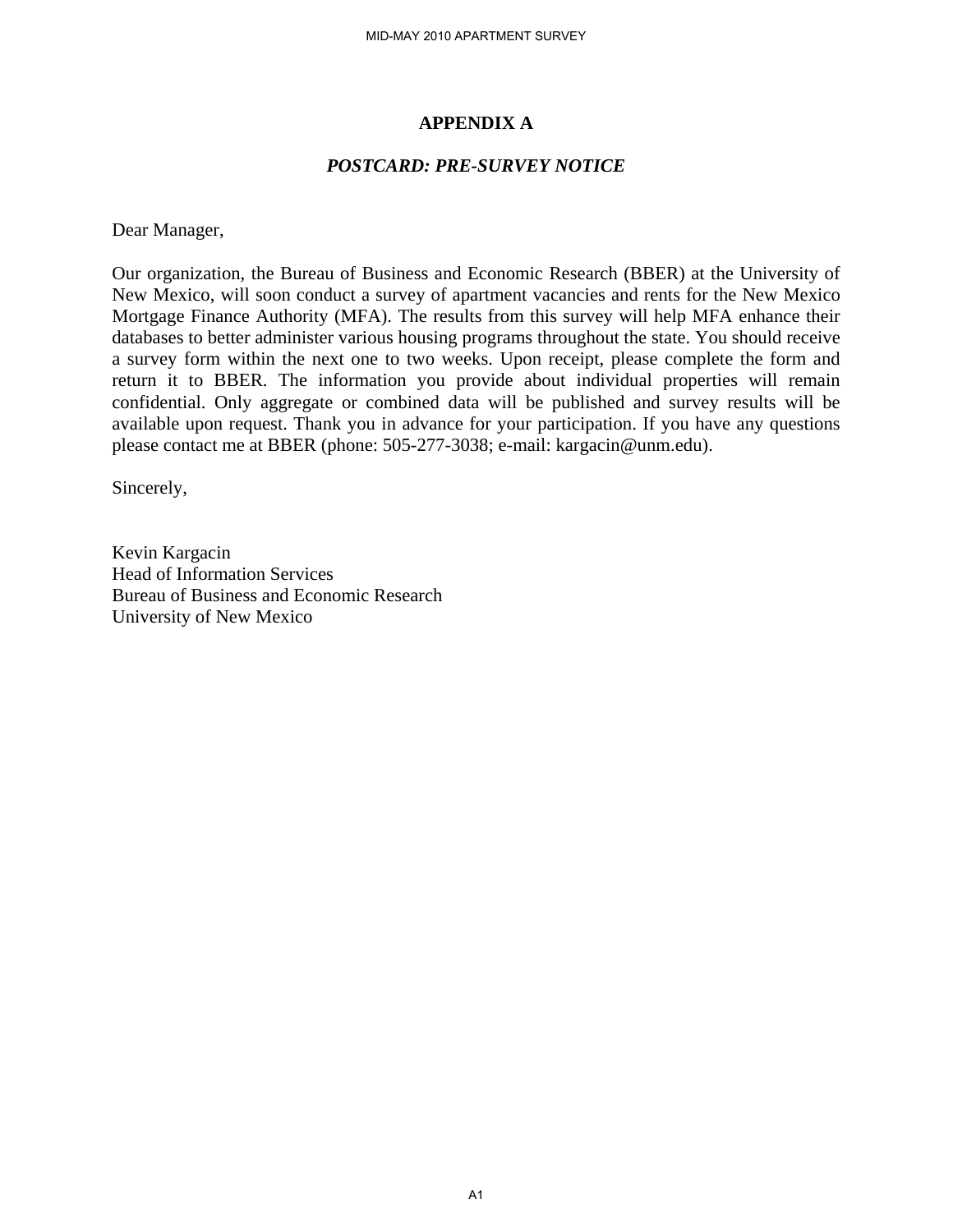#### **APPENDIX A**

#### *POSTCARD: PRE-SURVEY NOTICE*

Dear Manager,

Our organization, the Bureau of Business and Economic Research (BBER) at the University of New Mexico, will soon conduct a survey of apartment vacancies and rents for the New Mexico Mortgage Finance Authority (MFA). The results from this survey will help MFA enhance their databases to better administer various housing programs throughout the state. You should receive a survey form within the next one to two weeks. Upon receipt, please complete the form and return it to BBER. The information you provide about individual properties will remain confidential. Only aggregate or combined data will be published and survey results will be available upon request. Thank you in advance for your participation. If you have any questions please contact me at BBER (phone: 505-277-3038; e-mail: kargacin@unm.edu).

Sincerely,

Kevin Kargacin Head of Information Services Bureau of Business and Economic Research University of New Mexico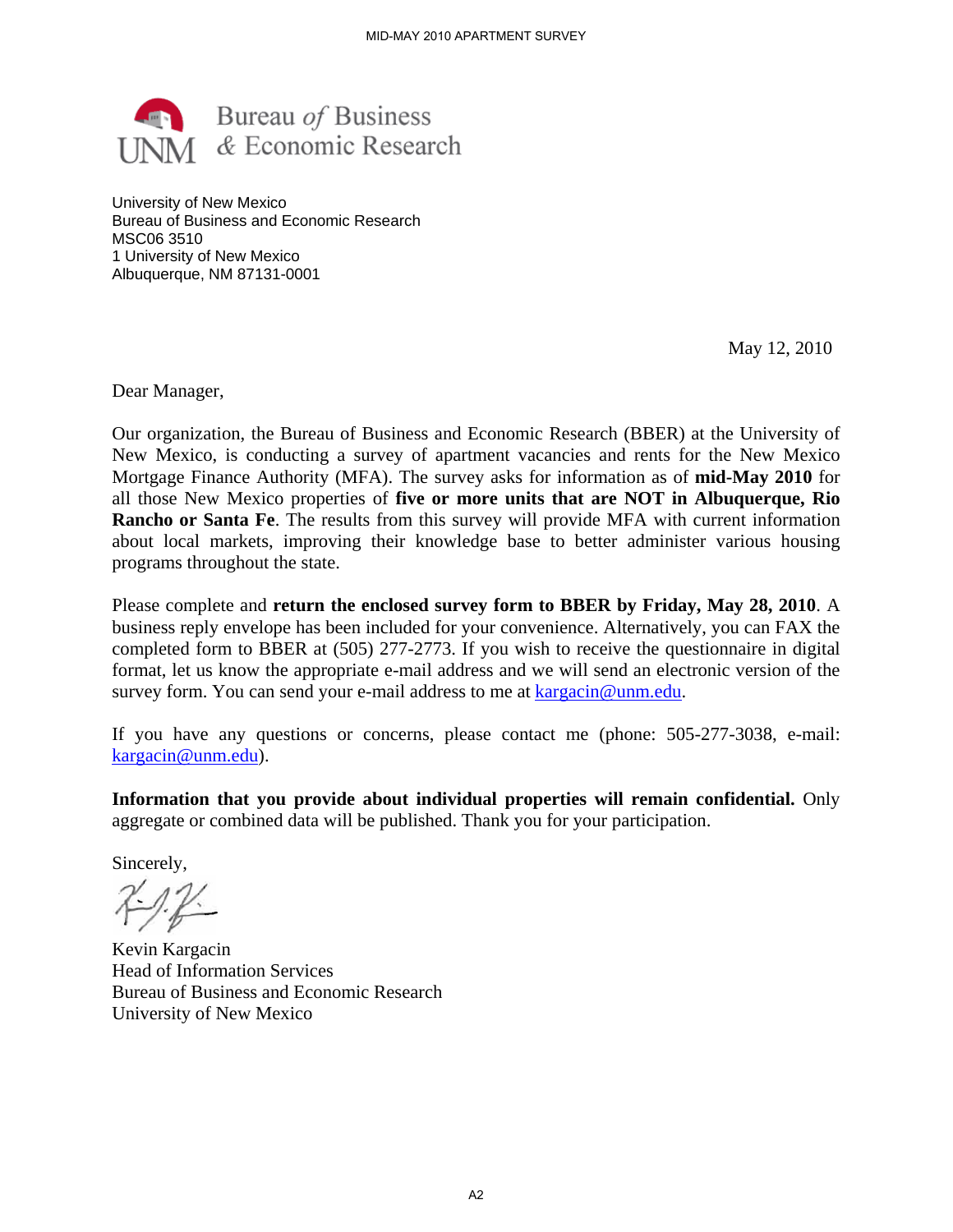

University of New Mexico Bureau of Business and Economic Research MSC06 3510 1 University of New Mexico Albuquerque, NM 87131-0001

May 12, 2010

Dear Manager,

Our organization, the Bureau of Business and Economic Research (BBER) at the University of New Mexico, is conducting a survey of apartment vacancies and rents for the New Mexico Mortgage Finance Authority (MFA). The survey asks for information as of **mid-May 2010** for all those New Mexico properties of **five or more units that are NOT in Albuquerque, Rio Rancho or Santa Fe**. The results from this survey will provide MFA with current information about local markets, improving their knowledge base to better administer various housing programs throughout the state.

Please complete and **return the enclosed survey form to BBER by Friday, May 28, 2010**. A business reply envelope has been included for your convenience. Alternatively, you can FAX the completed form to BBER at (505) 277-2773. If you wish to receive the questionnaire in digital format, let us know the appropriate e-mail address and we will send an electronic version of the survey form. You can send your e-mail address to me at kargacin@unm.edu.

If you have any questions or concerns, please contact me (phone: 505-277-3038, e-mail: kargacin@unm.edu).

**Information that you provide about individual properties will remain confidential.** Only aggregate or combined data will be published. Thank you for your participation.

Sincerely,

Kevin Kargacin Head of Information Services Bureau of Business and Economic Research University of New Mexico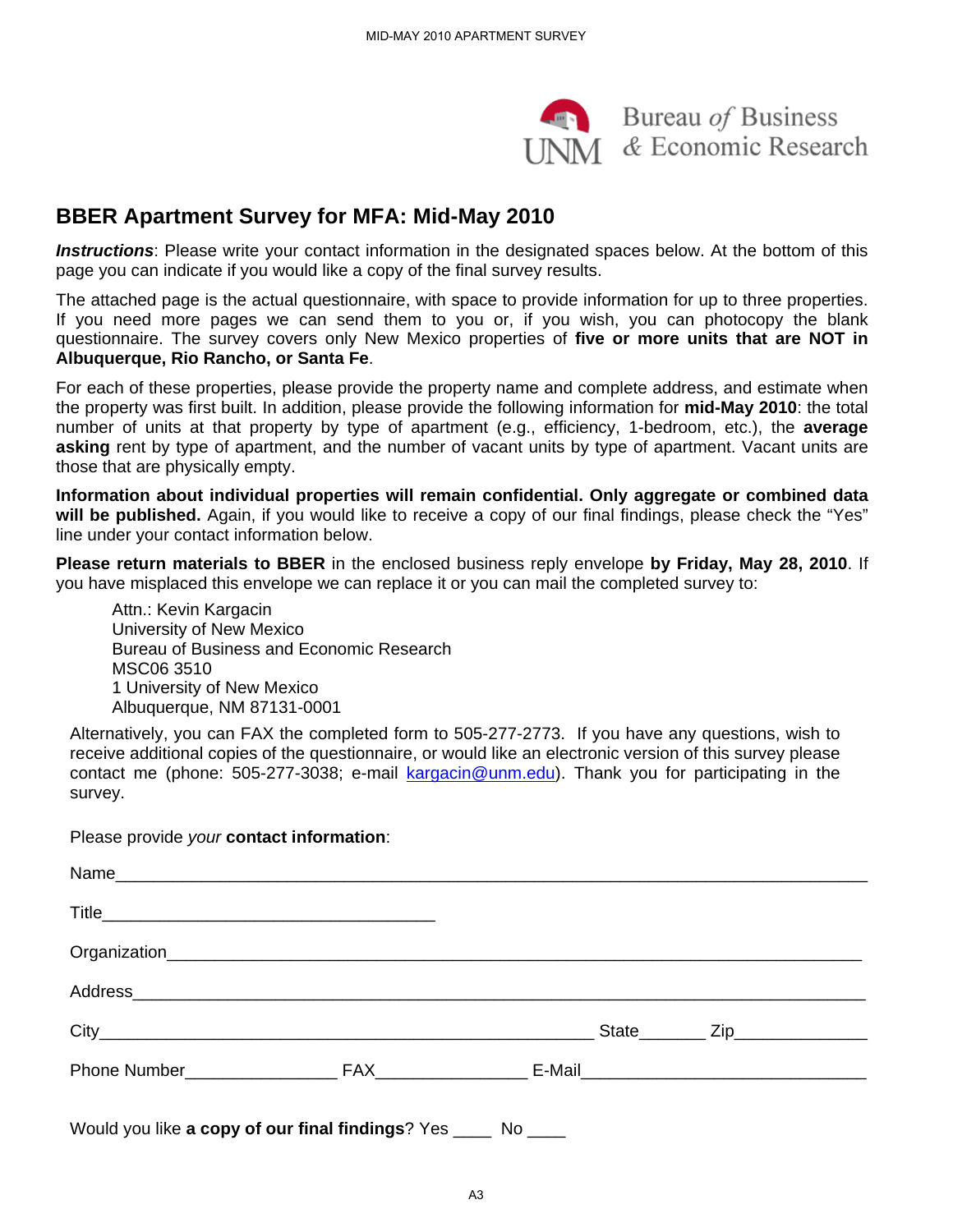

#### **BBER Apartment Survey for MFA: Mid-May 2010**

*Instructions*: Please write your contact information in the designated spaces below. At the bottom of this page you can indicate if you would like a copy of the final survey results.

The attached page is the actual questionnaire, with space to provide information for up to three properties. If you need more pages we can send them to you or, if you wish, you can photocopy the blank questionnaire. The survey covers only New Mexico properties of **five or more units that are NOT in Albuquerque, Rio Rancho, or Santa Fe**.

For each of these properties, please provide the property name and complete address, and estimate when the property was first built. In addition, please provide the following information for **mid-May 2010**: the total number of units at that property by type of apartment (e.g., efficiency, 1-bedroom, etc.), the **average asking** rent by type of apartment, and the number of vacant units by type of apartment. Vacant units are those that are physically empty.

**Information about individual properties will remain confidential. Only aggregate or combined data will be published.** Again, if you would like to receive a copy of our final findings, please check the "Yes" line under your contact information below.

**Please return materials to BBER** in the enclosed business reply envelope **by Friday, May 28, 2010**. If you have misplaced this envelope we can replace it or you can mail the completed survey to:

Attn.: Kevin Kargacin University of New Mexico Bureau of Business and Economic Research MSC06 3510 1 University of New Mexico Albuquerque, NM 87131-0001

Alternatively, you can FAX the completed form to 505-277-2773. If you have any questions, wish to receive additional copies of the questionnaire, or would like an electronic version of this survey please contact me (phone: 505-277-3038; e-mail kargacin@unm.edu). Thank you for participating in the survey.

Please provide *your* **contact information**:

| Would you like a copy of our final findings? Yes _____ No ____ |  |  |  |
|----------------------------------------------------------------|--|--|--|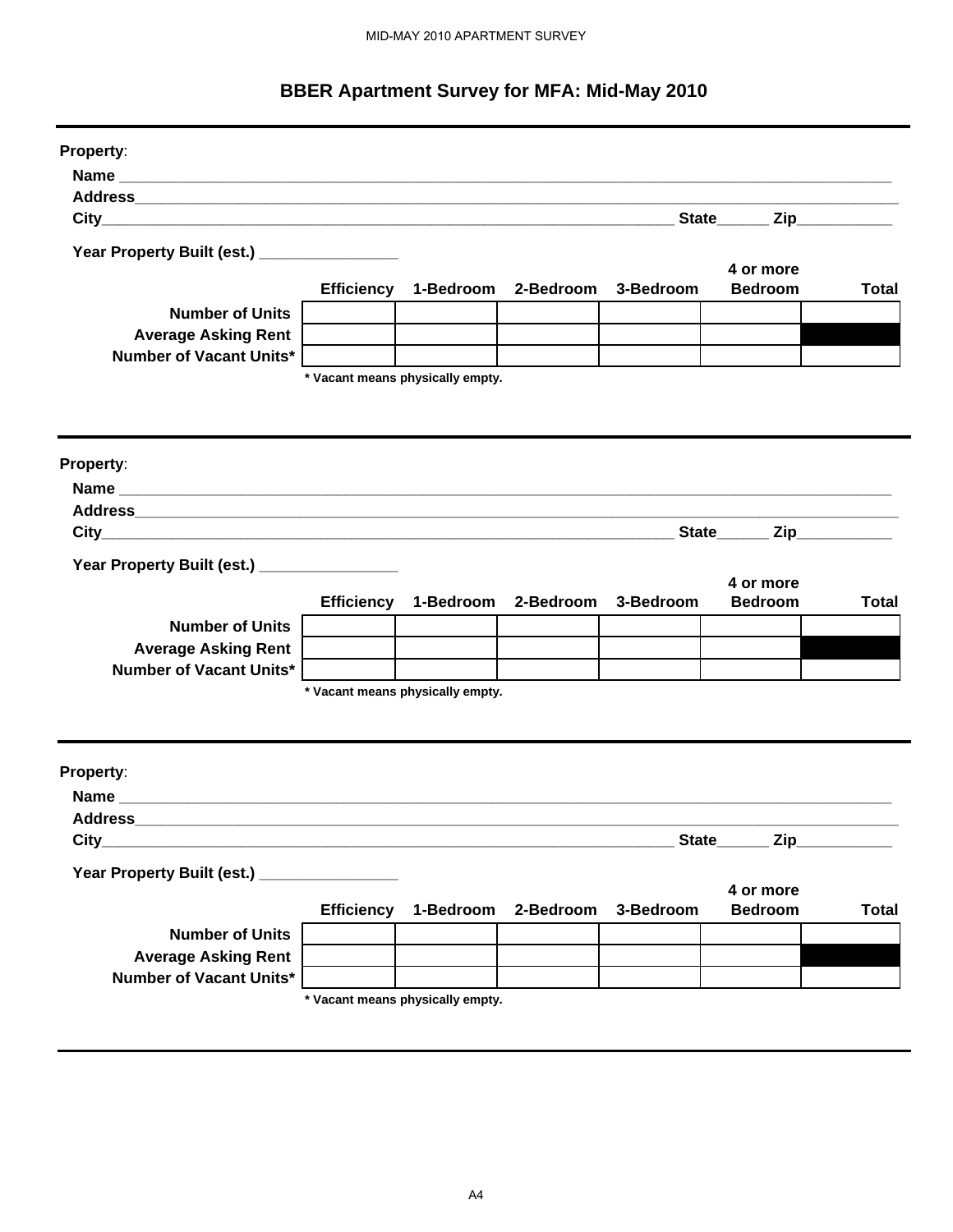#### **BBER Apartment Survey for MFA: Mid-May 2010**

| Property:                                                                                                       |                   |                                          |           |           |                             |              |
|-----------------------------------------------------------------------------------------------------------------|-------------------|------------------------------------------|-----------|-----------|-----------------------------|--------------|
|                                                                                                                 |                   |                                          |           |           |                             |              |
| Address                                                                                                         |                   |                                          |           |           |                             |              |
|                                                                                                                 |                   |                                          |           |           | State Zip                   |              |
| Year Property Built (est.) _________________                                                                    |                   |                                          |           |           |                             |              |
|                                                                                                                 |                   | Efficiency 1-Bedroom 2-Bedroom 3-Bedroom |           |           | 4 or more<br><b>Bedroom</b> | <b>Total</b> |
| <b>Number of Units</b>                                                                                          |                   |                                          |           |           |                             |              |
| <b>Average Asking Rent</b>                                                                                      |                   |                                          |           |           |                             |              |
| Number of Vacant Units*                                                                                         |                   |                                          |           |           |                             |              |
|                                                                                                                 |                   | * Vacant means physically empty.         |           |           |                             |              |
|                                                                                                                 |                   |                                          |           |           |                             |              |
|                                                                                                                 |                   |                                          |           |           |                             |              |
| Property:                                                                                                       |                   |                                          |           |           |                             |              |
|                                                                                                                 |                   |                                          |           |           |                             |              |
|                                                                                                                 |                   |                                          |           |           |                             |              |
| Address and the contract of the contract of the contract of the contract of the contract of the contract of the |                   |                                          |           |           |                             |              |
|                                                                                                                 |                   |                                          |           |           | State Zip                   |              |
| Year Property Built (est.) _________________                                                                    |                   |                                          |           |           |                             |              |
|                                                                                                                 |                   |                                          |           |           | 4 or more                   |              |
|                                                                                                                 |                   | Efficiency 1-Bedroom 2-Bedroom           |           | 3-Bedroom | <b>Bedroom</b>              | <b>Total</b> |
| <b>Number of Units</b>                                                                                          |                   |                                          |           |           |                             |              |
| <b>Average Asking Rent</b>                                                                                      |                   |                                          |           |           |                             |              |
| <b>Number of Vacant Units*</b>                                                                                  |                   |                                          |           |           |                             |              |
|                                                                                                                 |                   | * Vacant means physically empty.         |           |           |                             |              |
|                                                                                                                 |                   |                                          |           |           |                             |              |
|                                                                                                                 |                   |                                          |           |           |                             |              |
| Property:                                                                                                       |                   |                                          |           |           |                             |              |
|                                                                                                                 |                   |                                          |           |           |                             |              |
| <b>Address</b>                                                                                                  |                   |                                          |           |           |                             |              |
| City                                                                                                            |                   |                                          |           |           | State_________ Zip_         |              |
| Year Property Built (est.)                                                                                      |                   |                                          |           |           |                             |              |
|                                                                                                                 |                   |                                          |           |           | 4 or more                   |              |
|                                                                                                                 | <b>Efficiency</b> | 1-Bedroom                                | 2-Bedroom | 3-Bedroom | <b>Bedroom</b>              | <b>Total</b> |
| <b>Number of Units</b>                                                                                          |                   |                                          |           |           |                             |              |
| <b>Average Asking Rent</b>                                                                                      |                   |                                          |           |           |                             |              |
| Number of Vacant Units*                                                                                         |                   |                                          |           |           |                             |              |
|                                                                                                                 |                   | * Vacant means physically empty.         |           |           |                             |              |